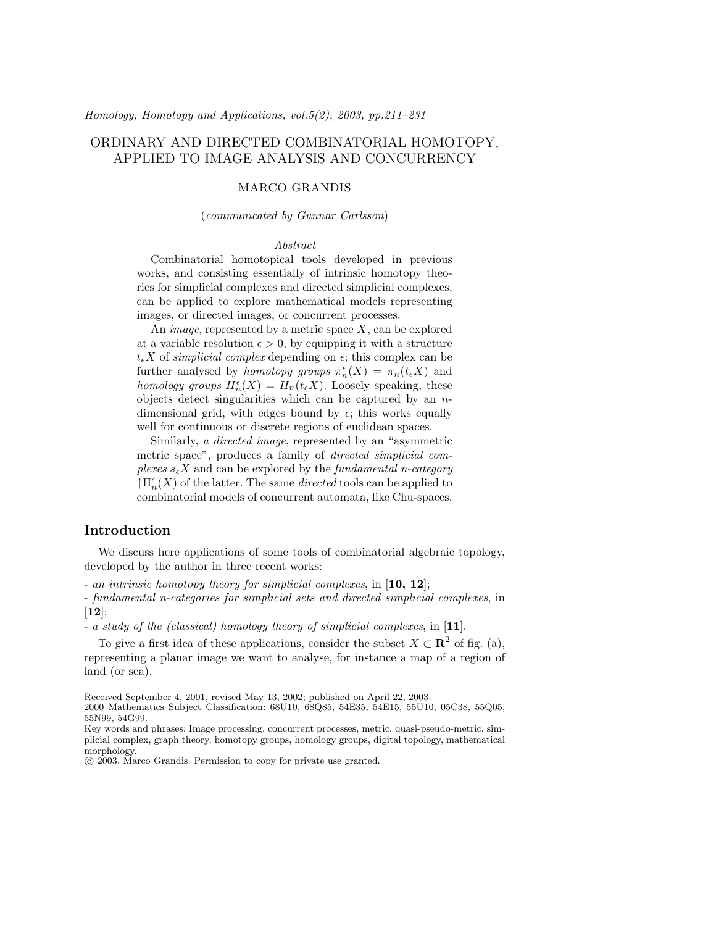# ORDINARY AND DIRECTED COMBINATORIAL HOMOTOPY, APPLIED TO IMAGE ANALYSIS AND CONCURRENCY

# MARCO GRANDIS

#### (communicated by Gunnar Carlsson)

#### Abstract

Combinatorial homotopical tools developed in previous works, and consisting essentially of intrinsic homotopy theories for simplicial complexes and directed simplicial complexes, can be applied to explore mathematical models representing images, or directed images, or concurrent processes.

An *image*, represented by a metric space  $X$ , can be explored at a variable resolution  $\epsilon > 0$ , by equipping it with a structure  $t_{\epsilon}X$  of *simplicial complex* depending on  $\epsilon$ ; this complex can be further analysed by *homotopy groups*  $\pi_n^{\epsilon}(X) = \pi_n(t_{\epsilon}X)$  and homology groups  $H_n^{\epsilon}(X) = H_n(t_{\epsilon}X)$ . Loosely speaking, these objects detect singularities which can be captured by an ndimensional grid, with edges bound by  $\epsilon$ ; this works equally well for continuous or discrete regions of euclidean spaces.

Similarly, a directed image, represented by an "asymmetric metric space", produces a family of directed simplicial complexes  $s_{\epsilon}X$  and can be explored by the fundamental n-category  $\uparrow \Pi^{\epsilon}_n(X)$  of the latter. The same *directed* tools can be applied to combinatorial models of concurrent automata, like Chu-spaces.

# Introduction

We discuss here applications of some tools of combinatorial algebraic topology, developed by the author in three recent works:

- an intrinsic homotopy theory for simplicial complexes, in  $[10, 12]$ ;

- fundamental n-categories for simplicial sets and directed simplicial complexes, in  $[12]$ ;

- a study of the (classical) homology theory of simplicial complexes, in [11].

To give a first idea of these applications, consider the subset  $X \subset \mathbb{R}^2$  of fig. (a), representing a planar image we want to analyse, for instance a map of a region of land (or sea).

Received September 4, 2001, revised May 13, 2002; published on April 22, 2003.

<sup>2000</sup> Mathematics Subject Classification: 68U10, 68Q85, 54E35, 54E15, 55U10, 05C38, 55Q05, 55N99, 54G99.

Key words and phrases: Image processing, concurrent processes, metric, quasi-pseudo-metric, simplicial complex, graph theory, homotopy groups, homology groups, digital topology, mathematical morphology.

<sup>°</sup>c 2003, Marco Grandis. Permission to copy for private use granted.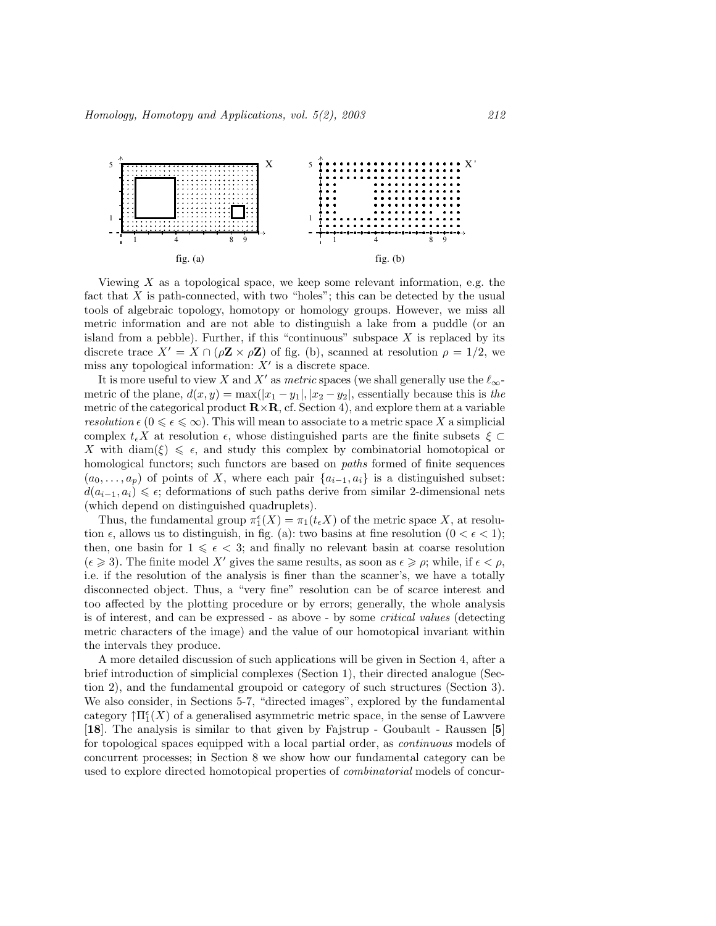

Viewing  $X$  as a topological space, we keep some relevant information, e.g. the fact that X is path-connected, with two "holes"; this can be detected by the usual tools of algebraic topology, homotopy or homology groups. However, we miss all metric information and are not able to distinguish a lake from a puddle (or an island from a pebble). Further, if this "continuous" subspace  $X$  is replaced by its discrete trace  $X' = X \cap (\rho \mathbf{Z} \times \rho \mathbf{Z})$  of fig. (b), scanned at resolution  $\rho = 1/2$ , we miss any topological information:  $X'$  is a discrete space.

It is more useful to view X and X' as metric spaces (we shall generally use the  $\ell_{\infty}$ metric of the plane,  $d(x, y) = \max(|x_1 - y_1|, |x_2 - y_2|)$ , essentially because this is the metric of the categorical product  $\mathbf{R} \times \mathbf{R}$ , cf. Section 4), and explore them at a variable resolution  $\epsilon$  ( $0 \leq \epsilon \leq \infty$ ). This will mean to associate to a metric space X a simplicial complex  $t_{\epsilon}X$  at resolution  $\epsilon$ , whose distinguished parts are the finite subsets  $\xi \subset$ X with diam( $\xi$ )  $\leq$   $\epsilon$ , and study this complex by combinatorial homotopical or homological functors; such functors are based on *paths* formed of finite sequences  $(a_0, \ldots, a_p)$  of points of X, where each pair  $\{a_{i-1}, a_i\}$  is a distinguished subset:  $d(a_{i-1}, a_i) \leq \epsilon$ ; deformations of such paths derive from similar 2-dimensional nets (which depend on distinguished quadruplets).

Thus, the fundamental group  $\pi_1^{\epsilon}(X) = \pi_1(t_{\epsilon}X)$  of the metric space X, at resolution  $\epsilon$ , allows us to distinguish, in fig. (a): two basins at fine resolution  $(0 < \epsilon < 1)$ ; then, one basin for  $1 \leq \epsilon < 3$ ; and finally no relevant basin at coarse resolution  $({\epsilon} \geqslant 3)$ . The finite model X' gives the same results, as soon as  ${\epsilon} \geqslant \rho$ ; while, if  ${\epsilon} < \rho$ , i.e. if the resolution of the analysis is finer than the scanner's, we have a totally disconnected object. Thus, a "very fine" resolution can be of scarce interest and too affected by the plotting procedure or by errors; generally, the whole analysis is of interest, and can be expressed - as above - by some critical values (detecting metric characters of the image) and the value of our homotopical invariant within the intervals they produce.

A more detailed discussion of such applications will be given in Section 4, after a brief introduction of simplicial complexes (Section 1), their directed analogue (Section 2), and the fundamental groupoid or category of such structures (Section 3). We also consider, in Sections 5-7, "directed images", explored by the fundamental category  $\uparrow \Pi_1^{\epsilon}(X)$  of a generalised asymmetric metric space, in the sense of Lawvere [18]. The analysis is similar to that given by Fajstrup - Goubault - Raussen [5] for topological spaces equipped with a local partial order, as continuous models of concurrent processes; in Section 8 we show how our fundamental category can be used to explore directed homotopical properties of combinatorial models of concur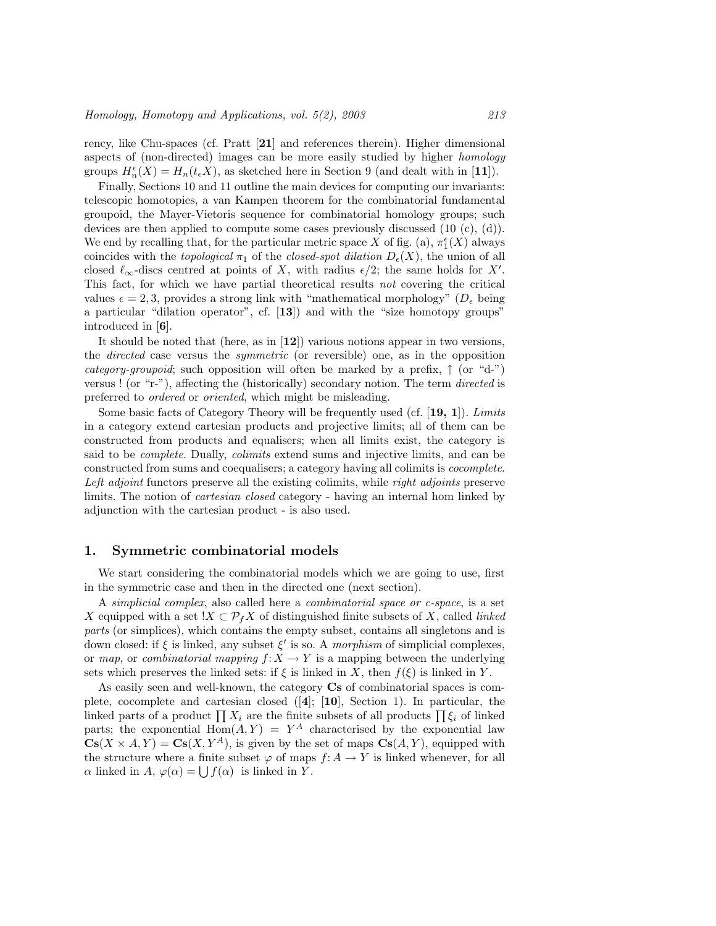rency, like Chu-spaces (cf. Pratt [21] and references therein). Higher dimensional aspects of (non-directed) images can be more easily studied by higher homology groups  $H_n^{\epsilon}(X) = H_n(t_{\epsilon}X)$ , as sketched here in Section 9 (and dealt with in [11]).

Finally, Sections 10 and 11 outline the main devices for computing our invariants: telescopic homotopies, a van Kampen theorem for the combinatorial fundamental groupoid, the Mayer-Vietoris sequence for combinatorial homology groups; such devices are then applied to compute some cases previously discussed (10 (c), (d)). We end by recalling that, for the particular metric space X of fig. (a),  $\pi_1^{\epsilon}(X)$  always coincides with the topological  $\pi_1$  of the closed-spot dilation  $D_{\epsilon}(X)$ , the union of all closed  $\ell_{\infty}$ -discs centred at points of X, with radius  $\epsilon/2$ ; the same holds for X'. This fact, for which we have partial theoretical results not covering the critical values  $\epsilon = 2, 3$ , provides a strong link with "mathematical morphology" ( $D_{\epsilon}$  being a particular "dilation operator", cf. [13]) and with the "size homotopy groups" introduced in [6].

It should be noted that (here, as in [12]) various notions appear in two versions, the directed case versus the symmetric (or reversible) one, as in the opposition category-groupoid; such opposition will often be marked by a prefix,  $\uparrow$  (or "d-") versus ! (or "r-"), affecting the (historically) secondary notion. The term directed is preferred to ordered or oriented, which might be misleading.

Some basic facts of Category Theory will be frequently used (cf.  $[19, 1]$ ). Limits in a category extend cartesian products and projective limits; all of them can be constructed from products and equalisers; when all limits exist, the category is said to be complete. Dually, colimits extend sums and injective limits, and can be constructed from sums and coequalisers; a category having all colimits is cocomplete. Left adjoint functors preserve all the existing colimits, while *right adjoints* preserve limits. The notion of cartesian closed category - having an internal hom linked by adjunction with the cartesian product - is also used.

# 1. Symmetric combinatorial models

We start considering the combinatorial models which we are going to use, first in the symmetric case and then in the directed one (next section).

A simplicial complex, also called here a combinatorial space or c-space, is a set X equipped with a set  $!X \subset \mathcal{P}_f X$  of distinguished finite subsets of X, called *linked* parts (or simplices), which contains the empty subset, contains all singletons and is down closed: if  $\xi$  is linked, any subset  $\xi'$  is so. A morphism of simplicial complexes, or map, or combinatorial mapping  $f: X \to Y$  is a mapping between the underlying sets which preserves the linked sets: if  $\xi$  is linked in X, then  $f(\xi)$  is linked in Y.

As easily seen and well-known, the category  $\mathbf{C}\mathbf{s}$  of combinatorial spaces is complete, cocomplete and cartesian closed  $([4]; [10],$  Section 1). In particular, the plete, cocomplete and cartesian closed ([4]; [10], section 1). In particular, the linked parts of a product  $\prod X_i$  are the finite subsets of all products  $\prod \xi_i$  of linked parts; the exponential  $\text{Hom}(A, Y) = Y^A$  characterised by the exponential law  $\mathbf{Cs}(X \times A, Y) = \mathbf{Cs}(X, Y^A)$ , is given by the set of maps  $\mathbf{Cs}(A, Y)$ , equipped with the structure where a finite subset  $\varphi$  of maps  $f: A \to Y$  is linked whenever, for all The structure where a finite subset  $\varphi$  of maps  $\alpha$  linked in  $A$ ,  $\varphi(\alpha) = \bigcup f(\alpha)$  is linked in Y.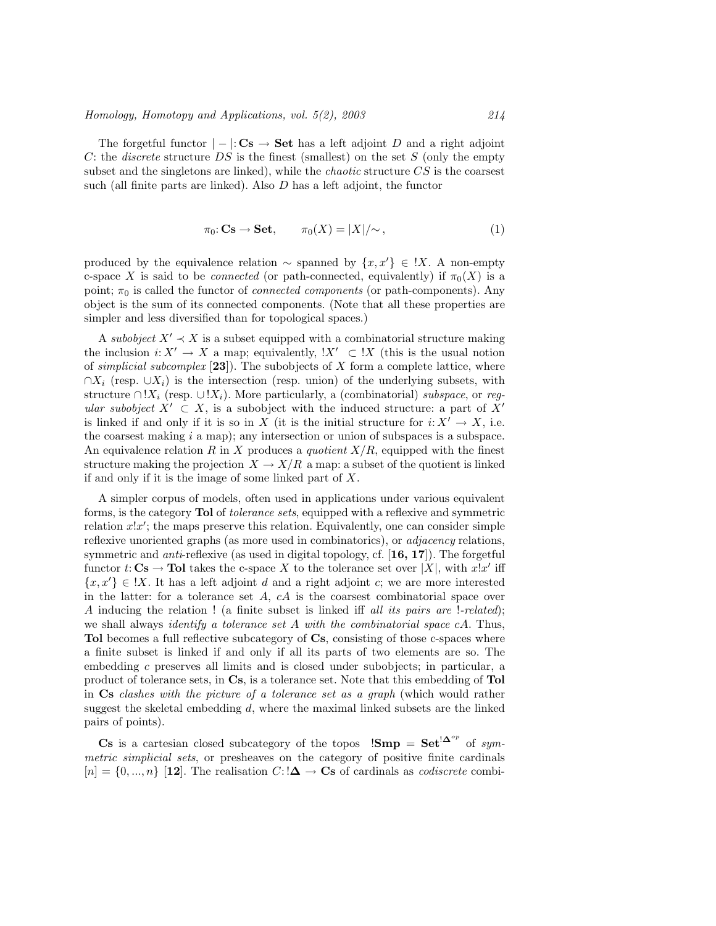The forgetful functor  $|-|: \mathbf{Cs} \rightarrow \mathbf{Set}$  has a left adjoint D and a right adjoint C: the *discrete* structure DS is the finest (smallest) on the set  $S$  (only the empty subset and the singletons are linked), while the chaotic structure CS is the coarsest such (all finite parts are linked). Also D has a left adjoint, the functor

$$
\pi_0: \mathbf{Cs} \to \mathbf{Set}, \qquad \pi_0(X) = |X|/\sim,
$$
\n(1)

produced by the equivalence relation  $\sim$  spanned by  $\{x, x'\} \in \{X\}$ . A non-empty c-space X is said to be *connected* (or path-connected, equivalently) if  $\pi_0(X)$  is a point;  $\pi_0$  is called the functor of *connected components* (or path-components). Any object is the sum of its connected components. (Note that all these properties are simpler and less diversified than for topological spaces.)

A subobject  $X' \prec X$  is a subset equipped with a combinatorial structure making the inclusion  $i: X' \to X$  a map; equivalently,  $X' \subset X$  (this is the usual notion of simplicial subcomplex  $[23]$ . The subobjects of X form a complete lattice, where  $\cap X_i$  (resp.  $\cup X_i$ ) is the intersection (resp. union) of the underlying subsets, with structure ∩ ! $X_i$  (resp.  $\cup$  ! $X_i$ ). More particularly, a (combinatorial) subspace, or regular subobject  $X' \subset X$ , is a subobject with the induced structure: a part of X<sup>'</sup> is linked if and only if it is so in X (it is the initial structure for  $i: X' \to X$ , i.e. the coarsest making  $i$  a map); any intersection or union of subspaces is a subspace. An equivalence relation R in X produces a quotient  $X/R$ , equipped with the finest structure making the projection  $X \to X/R$  a map: a subset of the quotient is linked if and only if it is the image of some linked part of X.

A simpler corpus of models, often used in applications under various equivalent forms, is the category Tol of tolerance sets, equipped with a reflexive and symmetric relation  $x!x'$ ; the maps preserve this relation. Equivalently, one can consider simple reflexive unoriented graphs (as more used in combinatorics), or adjacency relations, symmetric and *anti*-reflexive (as used in digital topology, cf.  $[16, 17]$ ). The forgetful functor  $t: \mathbf{Cs} \to \mathbf{Tol}$  takes the c-space X to the tolerance set over |X|, with  $x!x'$  iff  ${x, x' \in \mathbb{X}}$ . It has a left adjoint d and a right adjoint c; we are more interested in the latter: for a tolerance set  $A$ ,  $cA$  is the coarsest combinatorial space over A inducing the relation ! (a finite subset is linked iff all its pairs are !-related); we shall always *identify a tolerance set A with the combinatorial space cA*. Thus, Tol becomes a full reflective subcategory of Cs, consisting of those c-spaces where a finite subset is linked if and only if all its parts of two elements are so. The embedding c preserves all limits and is closed under subobjects; in particular, a product of tolerance sets, in Cs, is a tolerance set. Note that this embedding of Tol in Cs clashes with the picture of a tolerance set as a graph (which would rather suggest the skeletal embedding  $d$ , where the maximal linked subsets are the linked pairs of points).

Cs is a cartesian closed subcategory of the topos  $\text{!Smp} = \text{Set}^{\text{!}\Delta^{op}}$  of symmetric simplicial sets, or presheaves on the category of positive finite cardinals  $[n] = \{0, ..., n\}$  [12]. The realisation  $C: \mathbf{A} \to \mathbf{C}$ s of cardinals as *codiscrete* combi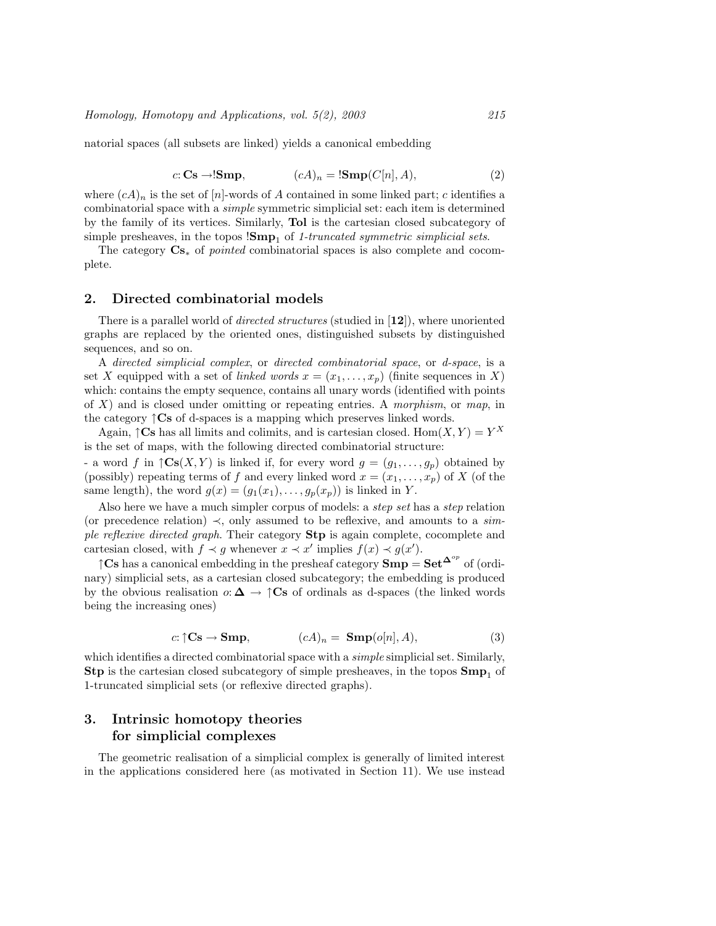natorial spaces (all subsets are linked) yields a canonical embedding

$$
c: \mathbf{Cs} \to \mathbf{Smp}, \qquad (cA)_n = \mathbf{!Smp}(C[n], A), \tag{2}
$$

where  $(cA)_n$  is the set of  $[n]$ -words of A contained in some linked part; c identifies a combinatorial space with a simple symmetric simplicial set: each item is determined by the family of its vertices. Similarly, Tol is the cartesian closed subcategory of simple presheaves, in the topos  $15mp_1$  of 1-truncated symmetric simplicial sets.

The category Cs<sup>∗</sup> of pointed combinatorial spaces is also complete and cocomplete.

#### 2. Directed combinatorial models

There is a parallel world of *directed structures* (studied in [12]), where unoriented graphs are replaced by the oriented ones, distinguished subsets by distinguished sequences, and so on.

A directed simplicial complex, or directed combinatorial space, or d-space, is a set X equipped with a set of linked words  $x = (x_1, \ldots, x_p)$  (finite sequences in X) which: contains the empty sequence, contains all unary words (identified with points of  $X$ ) and is closed under omitting or repeating entries. A morphism, or map, in the category  $\uparrow$ Cs of d-spaces is a mapping which preserves linked words.

Again,  $\uparrow$ Cs has all limits and colimits, and is cartesian closed. Hom $(X, Y) = Y^X$ is the set of maps, with the following directed combinatorial structure:

- a word f in  $\uparrow \mathbf{Cs}(X, Y)$  is linked if, for every word  $g = (g_1, \ldots, g_p)$  obtained by (possibly) repeating terms of f and every linked word  $x = (x_1, \ldots, x_p)$  of X (of the same length), the word  $g(x) = (g_1(x_1), \ldots, g_p(x_p))$  is linked in Y.

Also here we have a much simpler corpus of models: a step set has a step relation (or precedence relation)  $\prec$ , only assumed to be reflexive, and amounts to a simple reflexive directed graph. Their category Stp is again complete, cocomplete and cartesian closed, with  $f \prec g$  whenever  $x \prec x'$  implies  $f(x) \prec g(x')$ .

 $\uparrow$ Cs has a canonical embedding in the presheaf category  $\text{Smp} = \text{Set}^{\Delta^{op}}$  of (ordinary) simplicial sets, as a cartesian closed subcategory; the embedding is produced by the obvious realisation  $o: \Delta \to \uparrow \mathbb{C}$ s of ordinals as d-spaces (the linked words being the increasing ones)

$$
c: \uparrow \mathbf{Cs} \to \mathbf{Smp}, \qquad (cA)_n = \mathbf{Smp}(o[n], A), \tag{3}
$$

which identifies a directed combinatorial space with a *simple* simplicial set. Similarly, **Stp** is the cartesian closed subcategory of simple presheaves, in the topos  $\mathbf{Smp}_1$  of 1-truncated simplicial sets (or reflexive directed graphs).

# 3. Intrinsic homotopy theories for simplicial complexes

The geometric realisation of a simplicial complex is generally of limited interest in the applications considered here (as motivated in Section 11). We use instead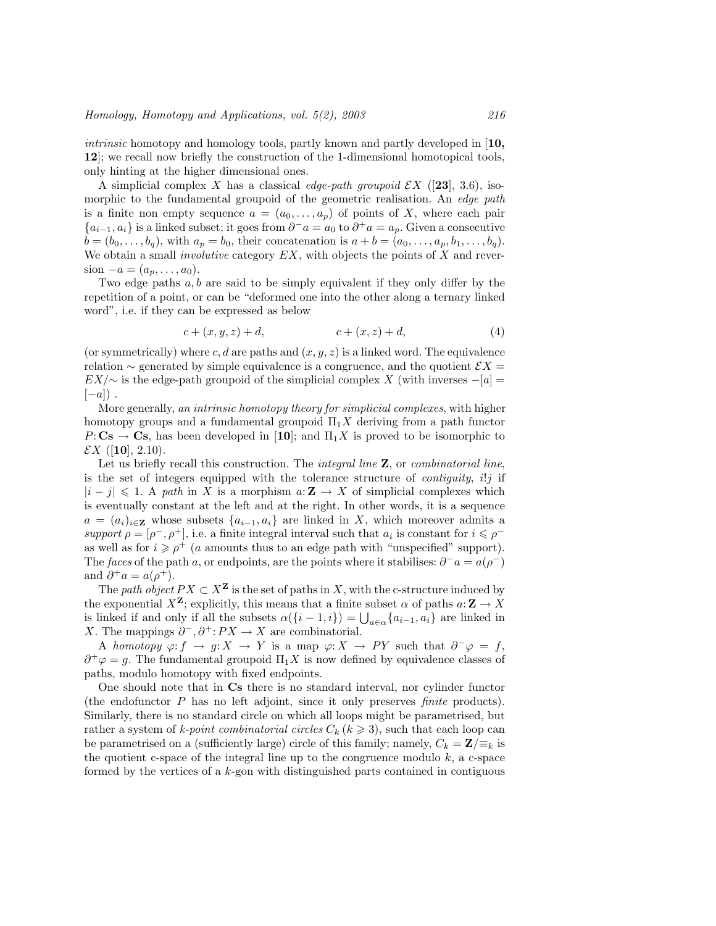intrinsic homotopy and homology tools, partly known and partly developed in [10, 12]; we recall now briefly the construction of the 1-dimensional homotopical tools, only hinting at the higher dimensional ones.

A simplicial complex X has a classical edge-path groupoid  $\mathcal{E}X$  ([23], 3.6), isomorphic to the fundamental groupoid of the geometric realisation. An edge path is a finite non empty sequence  $a = (a_0, \ldots, a_p)$  of points of X, where each pair  ${a_{i-1}, a_i}$  is a linked subset; it goes from  $\partial^- a = a_0$  to  $\partial^+ a = a_p$ . Given a consecutive  $b = (b_0, \ldots, b_q)$ , with  $a_p = b_0$ , their concatenation is  $a + b = (a_0, \ldots, a_p, b_1, \ldots, b_q)$ . We obtain a small *involutive* category  $EX$ , with objects the points of  $X$  and reversion  $-a = (a_p, \ldots, a_0)$ .

Two edge paths  $a, b$  are said to be simply equivalent if they only differ by the repetition of a point, or can be "deformed one into the other along a ternary linked word", i.e. if they can be expressed as below

$$
c + (x, y, z) + d, \t\t c + (x, z) + d, \t\t(4)
$$

(or symmetrically) where c, d are paths and  $(x, y, z)$  is a linked word. The equivalence relation  $\sim$  generated by simple equivalence is a congruence, and the quotient  $\mathcal{E}X =$  $EX/\sim$  is the edge-path groupoid of the simplicial complex X (with inverses  $-[a]$  =  $[-a]$ ).

More generally, an intrinsic homotopy theory for simplicial complexes, with higher homotopy groups and a fundamental groupoid  $\Pi_1 X$  deriving from a path functor  $P: \mathbf{Cs} \to \mathbf{Cs}$ , has been developed in [10]; and  $\Pi_1 X$  is proved to be isomorphic to  $\mathcal{E}X$  ([10], 2.10).

Let us briefly recall this construction. The *integral line*  $\mathbf{Z}$ , or *combinatorial line*, is the set of integers equipped with the tolerance structure of *contiguity, i!j* if  $|i - j| \leq 1$ . A path in X is a morphism  $a: \mathbf{Z} \to X$  of simplicial complexes which is eventually constant at the left and at the right. In other words, it is a sequence  $a = (a_i)_{i \in \mathbf{Z}}$  whose subsets  $\{a_{i-1}, a_i\}$  are linked in X, which moreover admits a support  $\rho = [\rho^-, \rho^+]$ , i.e. a finite integral interval such that  $a_i$  is constant for  $i \leq \rho^$ as well as for  $i \geq \rho^+$  (a amounts thus to an edge path with "unspecified" support). The faces of the path a, or endpoints, are the points where it stabilises:  $\partial^- a = a(\rho^-)$ and  $\partial^+ a = a(\rho^+).$ 

The path object  $PX \subset X^{\mathbf{Z}}$  is the set of paths in X, with the c-structure induced by the exponential  $X^{\mathbf{Z}}$ ; explicitly, this means that a finite subset  $\alpha$  of paths  $a: \mathbf{Z} \to X$ is linked if and only if all the subsets  $\alpha({i - 1, i}) = \bigcup_{a \in \alpha} {\alpha_{i-1}, \alpha_i}$  are linked in X. The mappings  $\partial^-$ ,  $\partial^+$ :  $PX \to X$  are combinatorial.

A homotopy  $\varphi: f \to g: X \to Y$  is a map  $\varphi: X \to PY$  such that  $\partial^-\varphi = f$ ,  $\partial^+\varphi = g$ . The fundamental groupoid  $\Pi_1 X$  is now defined by equivalence classes of paths, modulo homotopy with fixed endpoints.

One should note that in Cs there is no standard interval, nor cylinder functor (the endofunctor P has no left adjoint, since it only preserves finite products). Similarly, there is no standard circle on which all loops might be parametrised, but rather a system of k-point combinatorial circles  $C_k$  ( $k \geq 3$ ), such that each loop can be parametrised on a (sufficiently large) circle of this family; namely,  $C_k = \mathbf{Z}/\equiv_k$  is the quotient c-space of the integral line up to the congruence modulo  $k$ , a c-space formed by the vertices of a  $k$ -gon with distinguished parts contained in contiguous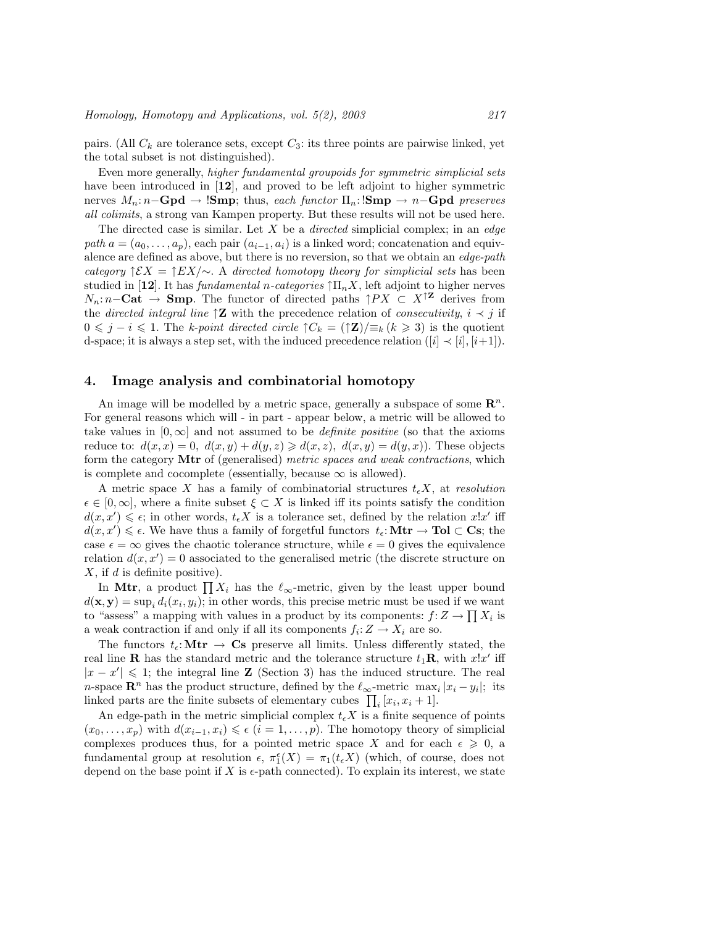pairs. (All  $C_k$  are tolerance sets, except  $C_3$ : its three points are pairwise linked, yet the total subset is not distinguished).

Even more generally, higher fundamental groupoids for symmetric simplicial sets have been introduced in [12], and proved to be left adjoint to higher symmetric nerves  $M_n: n-\mathbf{Gpd} \to \mathbf{Smp}$ ; thus, each functor  $\Pi_n: \mathbf{Smp} \to n-\mathbf{Gpd}$  preserves all colimits, a strong van Kampen property. But these results will not be used here.

The directed case is similar. Let  $X$  be a *directed* simplicial complex; in an *edge* path  $a = (a_0, \ldots, a_p)$ , each pair  $(a_{i-1}, a_i)$  is a linked word; concatenation and equivalence are defined as above, but there is no reversion, so that we obtain an edge-path category  $\uparrow \mathcal{E} X = \uparrow E X/\sim$ . A directed homotopy theory for simplicial sets has been studied in [12]. It has *fundamental n-categories*  $\prod_n X$ , left adjoint to higher nerves  $N_n: n-\mathbf{Cat}$  → **Smp**. The functor of directed paths  $\uparrow PX \subset X^{\uparrow \mathbf{Z}}$  derives from the *directed integral line*  $\mathcal{Z}$  with the precedence relation of *consecutivity*,  $i \prec j$  if  $0 \leq j - i \leq 1$ . The k-point directed circle  $\mathcal{C}_k = (\mathcal{I} \mathbf{Z})/\equiv_k (k \geq 3)$  is the quotient d-space; it is always a step set, with the induced precedence relation  $([i] \prec [i], [i+1])$ .

# 4. Image analysis and combinatorial homotopy

An image will be modelled by a metric space, generally a subspace of some  $\mathbb{R}^n$ . For general reasons which will - in part - appear below, a metric will be allowed to take values in  $[0, \infty]$  and not assumed to be *definite positive* (so that the axioms reduce to:  $d(x, x) = 0$ ,  $d(x, y) + d(y, z) \ge d(x, z)$ ,  $d(x, y) = d(y, x)$ . These objects form the category Mtr of (generalised) metric spaces and weak contractions, which is complete and cocomplete (essentially, because  $\infty$  is allowed).

A metric space X has a family of combinatorial structures  $t_{\epsilon}X$ , at resolution  $\epsilon \in [0,\infty]$ , where a finite subset  $\xi \subset X$  is linked iff its points satisfy the condition  $d(x, x') \leq \epsilon$ ; in other words,  $t_{\epsilon} X$  is a tolerance set, defined by the relation  $x!x'$  iff  $d(x, x') \leq \epsilon$ . We have thus a family of forgetful functors  $t_{\epsilon}$ : **Mtr**  $\rightarrow$  **Tol**  $\subset$  **Cs**; the case  $\epsilon = \infty$  gives the chaotic tolerance structure, while  $\epsilon = 0$  gives the equivalence relation  $d(x, x') = 0$  associated to the generalised metric (the discrete structure on  $X$ , if  $d$  is definite positive).

In a is defined positive).<br>In Mtr, a product  $\prod X_i$  has the  $\ell_{\infty}$ -metric, given by the least upper bound  $d(\mathbf{x}, \mathbf{y}) = \sup_i d_i(x_i, y_i)$ ; in other words, this precise metric must be used if we want to "assess" a mapping with values in a product by its components:  $f: Z \to \prod X_i$  is a weak contraction if and only if all its components  $f_i: Z \to X_i$  are so.

The functors  $t_{\epsilon}$ : Mtr  $\rightarrow$  Cs preserve all limits. Unless differently stated, the real line **R** has the standard metric and the tolerance structure  $t_1$ **R**, with  $x!x'$  iff  $|x - x'| \leq 1$ ; the integral line **Z** (Section 3) has the induced structure. The real n-space  $\mathbb{R}^n$  has the product structure, defined by the  $\ell_{\infty}$ -metric max<sub>i</sub>  $|x_i - y_i|$ ; its *n*-space **R**<sup> $\cdot$ </sup> has the product structure, defined by the  $\epsilon_{\infty}$ -metric max<sub>i</sub> linked parts are the finite subsets of elementary cubes  $\prod_i [x_i, x_i + 1]$ .

An edge-path in the metric simplicial complex  $t_i X$  is a finite sequence of points  $(x_0, \ldots, x_n)$  with  $d(x_{i-1}, x_i) \leq \epsilon$   $(i = 1, \ldots, p)$ . The homotopy theory of simplicial complexes produces thus, for a pointed metric space X and for each  $\epsilon \geqslant 0$ , a fundamental group at resolution  $\epsilon$ ,  $\pi_1^{\epsilon}(X) = \pi_1(t_{\epsilon}X)$  (which, of course, does not depend on the base point if X is  $\epsilon$ -path connected). To explain its interest, we state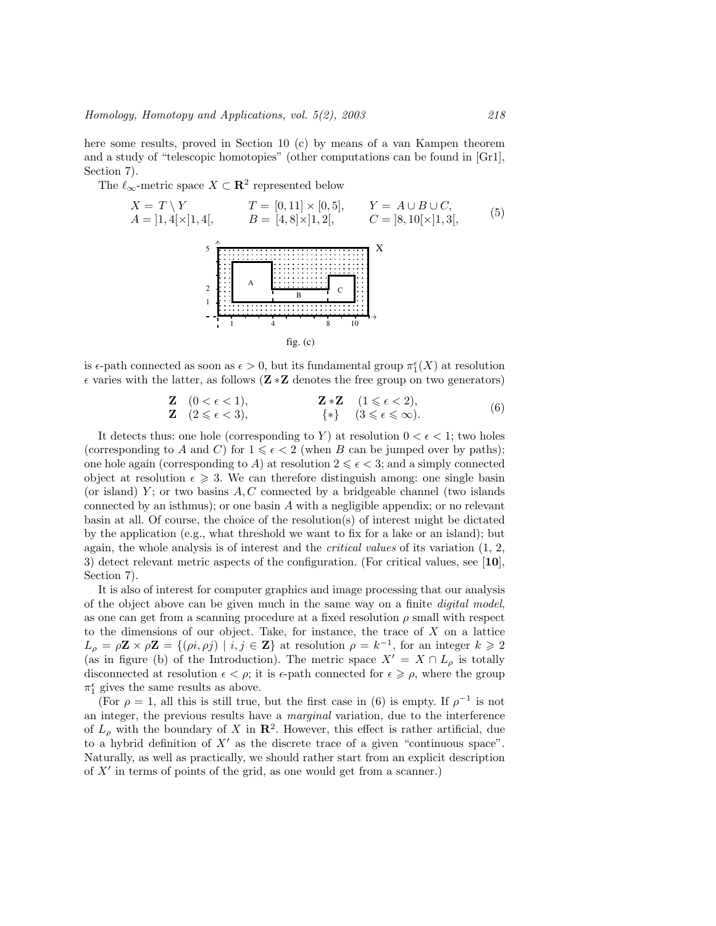here some results, proved in Section 10 (c) by means of a van Kampen theorem and a study of "telescopic homotopies" (other computations can be found in [Gr1], Section 7).

The  $\ell_{\infty}$ -metric space  $X \subset \mathbf{R}^2$  represented below

X = T \ Y T = [0, 11] × [0, 5], Y = A ∪ B ∪ C, A = ]1, 4[×]1, 4[, B = [4, 8]×]1, 2[, C = ]8, 10[×]1, 3[, (5) 5 X <sup>2</sup><sup>A</sup> 1 B C 1 4 8 10 fig. (c)

is  $\epsilon$ -path connected as soon as  $\epsilon > 0$ , but its fundamental group  $\pi_1^{\epsilon}(X)$  at resolution  $\epsilon$  varies with the latter, as follows ( $\mathbf{Z} \cdot \mathbf{Z}$  denotes the free group on two generators)

| <b>Z</b> $(0 < \epsilon < 1),$ | <b>Z</b> * <b>Z</b> $(1 \leq \epsilon < 2),$ | <b>Z</b> * <b>Z</b> $(0 \leq \epsilon < 3),$ | <b>Z</b> * <b>Z</b> $(1 \leq \epsilon < 2),$ | <b>Z</b> * <b>Z</b> $(0 \leq \epsilon < 3),$ | <b>Z</b> * <b>Z</b> $(1 \leq \epsilon < 2),$ | <b>Z</b> * <b>Z</b> $(1 \leq \epsilon < 3),$ | <b>Z</b> * <b>Z</b> $(1 \leq \epsilon < 3),$ | <b>Z</b> * <b>Z</b> $(1 \leq \epsilon < 3),$ | <b>Z</b> * <b>Z</b> $(1 \leq \epsilon < 3),$ | <b>Z</b> * <b>Z</b> $(1 \leq \epsilon < 3),$ | <b>Z</b> * <b>Z</b> $(1 \leq \epsilon < 3),$ | <b>Z</b> * <b>Z</b> $(1 \leq \epsilon < 3),$ | <b>Z</b> * <b>Z</b> $(1 \leq \epsilon < 3),$ | <b>Z</b> * <b>Z</b> $(1 \leq \epsilon < 3),$ | <b>Z</b> * <b>Z</b> $(1 \leq \epsilon < 3),$ | <b>Z</b> * <b>Z</b> $(1 \leq \epsilon < 3),$ | <b>Z</b> * <b>Z</b> $(1 \leq \epsilon < 3),$ | <b>Z</b> * <b>Z</b> $(1 \leq \epsilon < 3),$ | <b>Z</b> * <b>Z</b> $(1 \leq \epsilon < 3),$ | <b>Z</b> * <b>Z</b> $(1 \leq \epsilon < 3),$ | <b>Z</b> * <b>Z</b> $(1 \leq \epsilon < 3$ |
|--------------------------------|----------------------------------------------|----------------------------------------------|----------------------------------------------|----------------------------------------------|----------------------------------------------|----------------------------------------------|----------------------------------------------|----------------------------------------------|----------------------------------------------|----------------------------------------------|----------------------------------------------|----------------------------------------------|----------------------------------------------|----------------------------------------------|----------------------------------------------|----------------------------------------------|----------------------------------------------|----------------------------------------------|----------------------------------------------|----------------------------------------------|--------------------------------------------|
|--------------------------------|----------------------------------------------|----------------------------------------------|----------------------------------------------|----------------------------------------------|----------------------------------------------|----------------------------------------------|----------------------------------------------|----------------------------------------------|----------------------------------------------|----------------------------------------------|----------------------------------------------|----------------------------------------------|----------------------------------------------|----------------------------------------------|----------------------------------------------|----------------------------------------------|----------------------------------------------|----------------------------------------------|----------------------------------------------|----------------------------------------------|--------------------------------------------|

It detects thus: one hole (corresponding to Y) at resolution  $0 < \epsilon < 1$ ; two holes (corresponding to A and C) for  $1 \leq \epsilon < 2$  (when B can be jumped over by paths); one hole again (corresponding to A) at resolution  $2 \leq \epsilon < 3$ ; and a simply connected object at resolution  $\epsilon \geq 3$ . We can therefore distinguish among: one single basin (or island) Y; or two basins  $A, C$  connected by a bridgeable channel (two islands connected by an isthmus); or one basin A with a negligible appendix; or no relevant basin at all. Of course, the choice of the resolution(s) of interest might be dictated by the application (e.g., what threshold we want to fix for a lake or an island); but again, the whole analysis is of interest and the *critical values* of its variation  $(1, 2, 3)$ 3) detect relevant metric aspects of the configuration. (For critical values, see [10], Section 7).

It is also of interest for computer graphics and image processing that our analysis of the object above can be given much in the same way on a finite digital model, as one can get from a scanning procedure at a fixed resolution  $\rho$  small with respect to the dimensions of our object. Take, for instance, the trace of  $X$  on a lattice  $L_{\rho} = \rho \mathbf{Z} \times \rho \mathbf{Z} = \{(\rho i, \rho j) \mid i, j \in \mathbf{Z}\}\$ at resolution  $\rho = k^{-1}$ , for an integer  $k \geqslant 2$ (as in figure (b) of the Introduction). The metric space  $X' = X \cap L_{\rho}$  is totally disconnected at resolution  $\epsilon < \rho$ ; it is  $\epsilon$ -path connected for  $\epsilon \ge \rho$ , where the group  $\pi_1^{\epsilon}$  gives the same results as above.

(For  $\rho = 1$ , all this is still true, but the first case in (6) is empty. If  $\rho^{-1}$  is not an integer, the previous results have a marginal variation, due to the interference of  $L_{\rho}$  with the boundary of X in  $\mathbb{R}^2$ . However, this effect is rather artificial, due to a hybrid definition of  $X'$  as the discrete trace of a given "continuous space". Naturally, as well as practically, we should rather start from an explicit description of  $X'$  in terms of points of the grid, as one would get from a scanner.)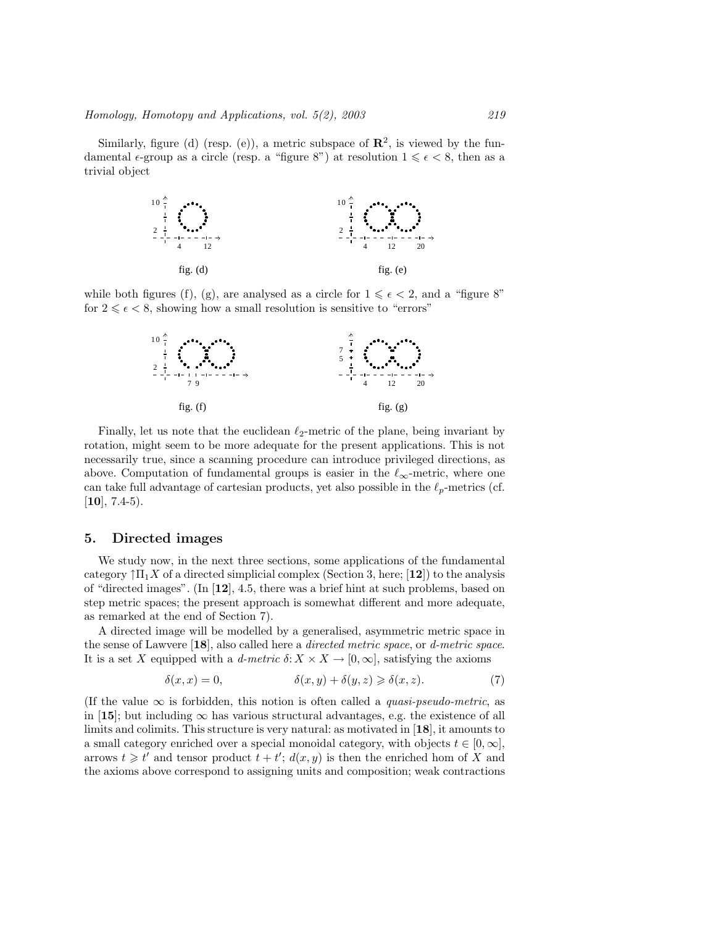Similarly, figure (d) (resp. (e)), a metric subspace of  $\mathbb{R}^2$ , is viewed by the fundamental  $\epsilon$ -group as a circle (resp. a "figure 8") at resolution  $1 \leq \epsilon < 8$ , then as a trivial object



while both figures (f), (g), are analysed as a circle for  $1 \leq \epsilon < 2$ , and a "figure 8" for  $2 \leq \epsilon < 8$ , showing how a small resolution is sensitive to "errors"



Finally, let us note that the euclidean  $\ell_2$ -metric of the plane, being invariant by rotation, might seem to be more adequate for the present applications. This is not necessarily true, since a scanning procedure can introduce privileged directions, as above. Computation of fundamental groups is easier in the  $\ell_\infty\text{-metric},$  where one can take full advantage of cartesian products, yet also possible in the  $\ell_p$ -metrics (cf.  $[10]$ , 7.4-5).

### 5. Directed images

We study now, in the next three sections, some applications of the fundamental category  $\int \Pi_1 X$  of a directed simplicial complex (Section 3, here; [12]) to the analysis of "directed images". (In  $[12]$ , 4.5, there was a brief hint at such problems, based on step metric spaces; the present approach is somewhat different and more adequate, as remarked at the end of Section 7).

A directed image will be modelled by a generalised, asymmetric metric space in the sense of Lawvere  $[18]$ , also called here a *directed metric space*, or *d-metric space*. It is a set X equipped with a d-metric  $\delta: X \times X \to [0, \infty]$ , satisfying the axioms

$$
\delta(x, x) = 0, \qquad \qquad \delta(x, y) + \delta(y, z) \geq \delta(x, z). \tag{7}
$$

(If the value  $\infty$  is forbidden, this notion is often called a *quasi-pseudo-metric*, as in [15]; but including  $\infty$  has various structural advantages, e.g. the existence of all limits and colimits. This structure is very natural: as motivated in [18], it amounts to a small category enriched over a special monoidal category, with objects  $t \in [0, \infty]$ , arrows  $t \geq t'$  and tensor product  $t + t'$ ;  $d(x, y)$  is then the enriched hom of X and the axioms above correspond to assigning units and composition; weak contractions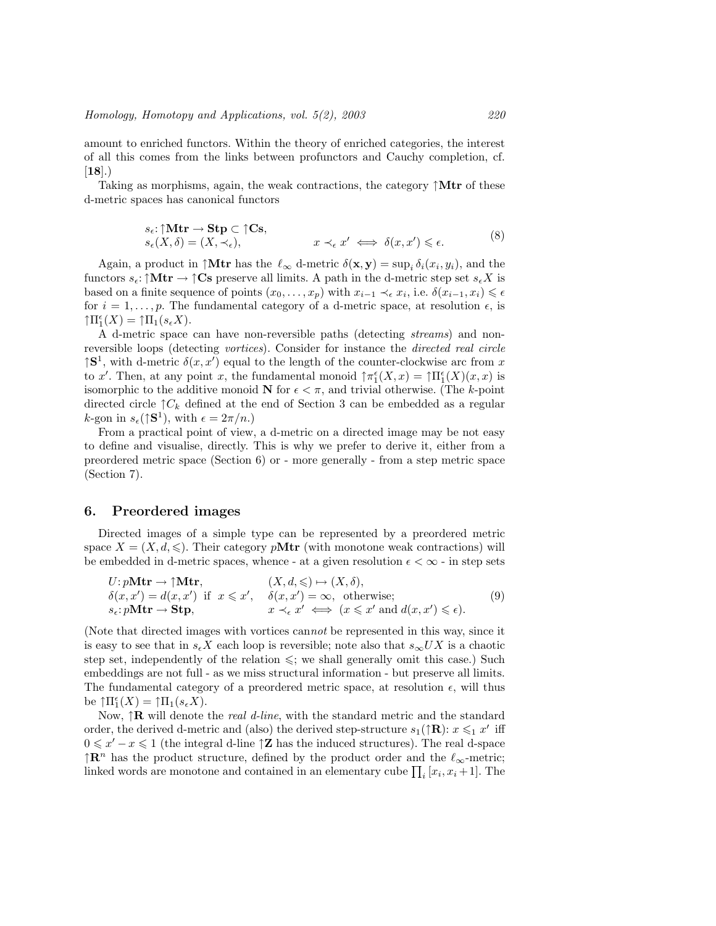amount to enriched functors. Within the theory of enriched categories, the interest of all this comes from the links between profunctors and Cauchy completion, cf.  $[18]$ .)

Taking as morphisms, again, the weak contractions, the category  $\uparrow$ Mtr of these d-metric spaces has canonical functors

$$
s_{\epsilon} : \uparrow \mathbf{Mtr} \to \mathbf{Stp} \subset \uparrow \mathbf{Cs},
$$
  
\n
$$
s_{\epsilon}(X, \delta) = (X, \prec_{\epsilon}),
$$
  
\n
$$
x \prec_{\epsilon} x' \iff \delta(x, x') \leq \epsilon.
$$
  
\n(8)

Again, a product in  $\uparrow$ **Mtr** has the  $\ell_{\infty}$  d-metric  $\delta(\mathbf{x}, \mathbf{y}) = \sup_{i} \delta_i(x_i, y_i)$ , and the functors  $s_{\epsilon}$ : ↑Mtr  $\rightarrow$  ↑Cs preserve all limits. A path in the d-metric step set  $s_{\epsilon}X$  is based on a finite sequence of points  $(x_0, \ldots, x_p)$  with  $x_{i-1} \prec_{\epsilon} x_i$ , i.e.  $\delta(x_{i-1}, x_i) \leq \epsilon$ for  $i = 1, \ldots, p$ . The fundamental category of a d-metric space, at resolution  $\epsilon$ , is  $\uparrow \Pi_1^{\epsilon}(X) = \uparrow \Pi_1(s_{\epsilon}X).$ 

A d-metric space can have non-reversible paths (detecting streams) and nonreversible loops (detecting vortices). Consider for instance the directed real circle  $\uparrow$ S<sup>1</sup>, with d-metric  $\delta(x, x')$  equal to the length of the counter-clockwise arc from x to x'. Then, at any point x, the fundamental monoid  $\uparrow \pi_1^{\epsilon}(X,x) = \uparrow \Pi_1^{\epsilon}(X)(x,x)$  is isomorphic to the additive monoid N for  $\epsilon < \pi$ , and trivial otherwise. (The k-point directed circle  $\uparrow C_k$  defined at the end of Section 3 can be embedded as a regular *k*-gon in  $s_{\epsilon}(\uparrow \mathbf{S}^1)$ , with  $\epsilon = 2\pi/n$ .)

From a practical point of view, a d-metric on a directed image may be not easy to define and visualise, directly. This is why we prefer to derive it, either from a preordered metric space (Section 6) or - more generally - from a step metric space (Section 7).

#### 6. Preordered images

Directed images of a simple type can be represented by a preordered metric space  $X = (X, d, \leqslant)$ . Their category pMtr (with monotone weak contractions) will be embedded in d-metric spaces, whence - at a given resolution  $\epsilon < \infty$  - in step sets

$$
U: pMtr \to \uparrow Mtr, \qquad (X, d, \leq) \mapsto (X, \delta),
$$
  
\n
$$
\delta(x, x') = d(x, x') \text{ if } x \leq x', \quad \delta(x, x') = \infty, \text{ otherwise;}
$$
  
\n
$$
s_{\epsilon}: pMtr \to \textbf{Stp}, \qquad x \prec_{\epsilon} x' \iff (x \leq x' \text{ and } d(x, x') \leq \epsilon).
$$
  
\n(9)

(Note that directed images with vortices cannot be represented in this way, since it is easy to see that in  $s_{\epsilon}X$  each loop is reversible; note also that  $s_{\infty}UX$  is a chaotic step set, independently of the relation  $\leq$ ; we shall generally omit this case.) Such embeddings are not full - as we miss structural information - but preserve all limits. The fundamental category of a preordered metric space, at resolution  $\epsilon$ , will thus be  $\uparrow \Pi_1^{\epsilon}(X) = \uparrow \Pi_1(s_{\epsilon}X).$ 

Now,  $\uparrow \mathbf{R}$  will denote the *real d-line*, with the standard metric and the standard order, the derived d-metric and (also) the derived step-structure  $s_1(\uparrow \mathbf{R})$ :  $x \leq 1$  x' iff  $0 \leq x'-x \leq 1$  (the integral d-line  $\uparrow$ **Z** has the induced structures). The real d-space  $\uparrow \mathbb{R}^n$  has the product structure, defined by the product order and the  $\ell_{\infty}$ -metric; linked words are monotone and contained in an elementary cube  $\prod_i [x_i, x_i + 1]$ . The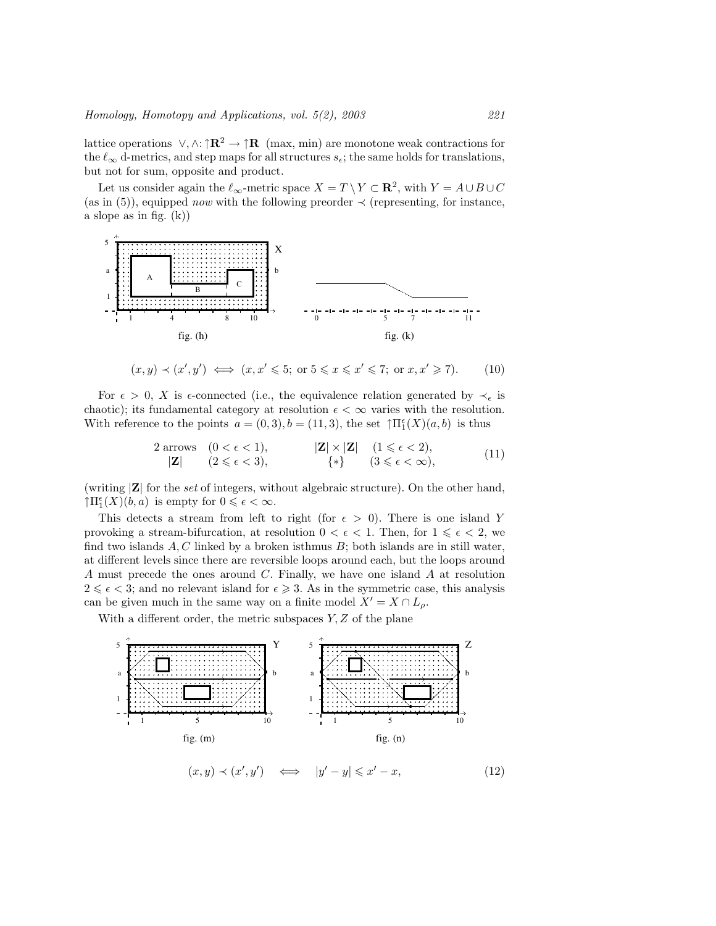lattice operations  $\vee, \wedge: \uparrow \mathbb{R}^2 \to \uparrow \mathbb{R}$  (max, min) are monotone weak contractions for the  $\ell_{\infty}$  d-metrics, and step maps for all structures  $s_{\epsilon}$ ; the same holds for translations, but not for sum, opposite and product.

Let us consider again the  $\ell_{\infty}$ -metric space  $X = T \setminus Y \subset \mathbf{R}^2$ , with  $Y = A \cup B \cup C$ (as in (5)), equipped *now* with the following preorder  $\prec$  (representing, for instance, a slope as in fig. (k))



$$
(x, y) \prec (x', y') \iff (x, x' \leqslant 5; \text{ or } 5 \leqslant x \leqslant x' \leqslant 7; \text{ or } x, x' \geqslant 7). \tag{10}
$$

For  $\epsilon > 0$ , X is  $\epsilon$ -connected (i.e., the equivalence relation generated by  $\prec_{\epsilon}$  is chaotic); its fundamental category at resolution  $\epsilon < \infty$  varies with the resolution. With reference to the points  $a = (0,3), b = (11,3)$ , the set  $\mathcal{T} \Pi_1^{\epsilon}(X)(a, b)$  is thus

$$
2 \text{ arrows } (0 < \epsilon < 1), \qquad |\mathbf{Z}| \times |\mathbf{Z}| \quad (1 \leq \epsilon < 2),
$$
  

$$
|\mathbf{Z}| \quad (2 \leq \epsilon < 3), \qquad \{*\} \quad (3 \leq \epsilon < \infty),
$$
  
(11)

(writing  $|\mathbf{Z}|$  for the set of integers, without algebraic structure). On the other hand,  $\uparrow \Pi_1^{\epsilon}(X)(b, a)$  is empty for  $0 \leq \epsilon < \infty$ .

This detects a stream from left to right (for  $\epsilon > 0$ ). There is one island Y provoking a stream-bifurcation, at resolution  $0 < \epsilon < 1$ . Then, for  $1 \leq \epsilon < 2$ , we find two islands  $A, C$  linked by a broken isthmus  $B$ ; both islands are in still water, at different levels since there are reversible loops around each, but the loops around A must precede the ones around C. Finally, we have one island A at resolution  $2 \leq \epsilon < 3$ ; and no relevant island for  $\epsilon \geq 3$ . As in the symmetric case, this analysis can be given much in the same way on a finite model  $X' = X \cap L_{\rho}$ .

With a different order, the metric subspaces  $Y, Z$  of the plane

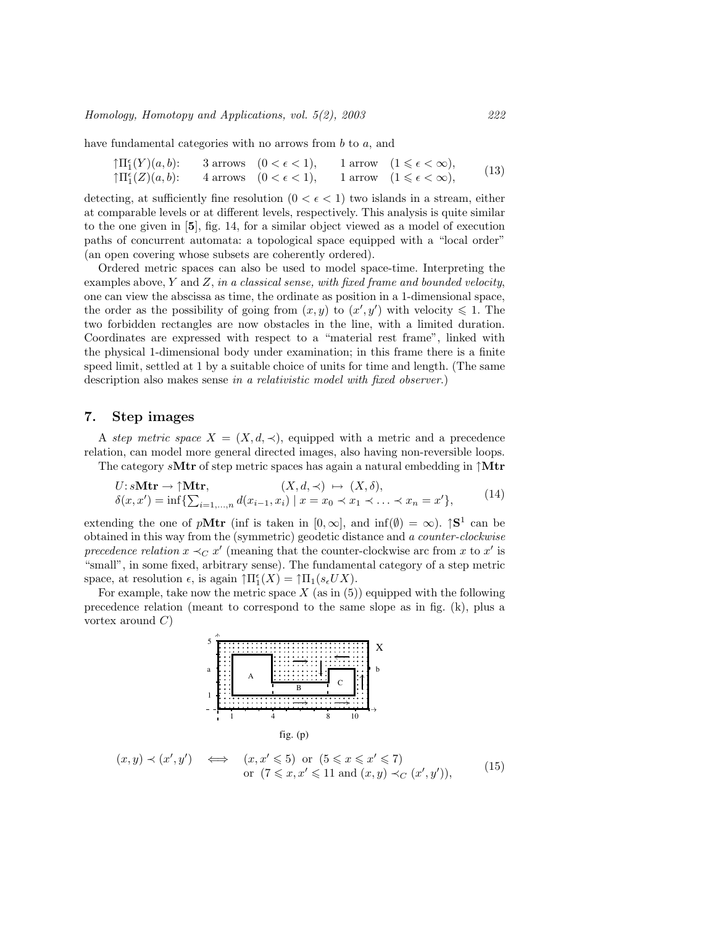have fundamental categories with no arrows from b to a, and

$$
\begin{array}{lll}\n\uparrow \Pi_1^{\epsilon}(Y)(a,b): & 3 \text{ arrows} & (0 < \epsilon < 1), & 1 \text{ arrow} & (1 \leqslant \epsilon < \infty), \\
\uparrow \Pi_1^{\epsilon}(Z)(a,b): & 4 \text{ arrows} & (0 < \epsilon < 1), & 1 \text{ arrow} & (1 \leqslant \epsilon < \infty),\n\end{array} \tag{13}
$$

detecting, at sufficiently fine resolution  $(0 < \epsilon < 1)$  two islands in a stream, either at comparable levels or at different levels, respectively. This analysis is quite similar to the one given in [5], fig. 14, for a similar object viewed as a model of execution paths of concurrent automata: a topological space equipped with a "local order" (an open covering whose subsets are coherently ordered).

Ordered metric spaces can also be used to model space-time. Interpreting the examples above,  $Y$  and  $Z$ , in a classical sense, with fixed frame and bounded velocity, one can view the abscissa as time, the ordinate as position in a 1-dimensional space, the order as the possibility of going from  $(x, y)$  to  $(x', y')$  with velocity  $\leq 1$ . The two forbidden rectangles are now obstacles in the line, with a limited duration. Coordinates are expressed with respect to a "material rest frame", linked with the physical 1-dimensional body under examination; in this frame there is a finite speed limit, settled at 1 by a suitable choice of units for time and length. (The same description also makes sense in a relativistic model with fixed observer.)

## 7. Step images

A step metric space  $X = (X, d, \prec)$ , equipped with a metric and a precedence relation, can model more general directed images, also having non-reversible loops.

The category  $sMtr$  of step metric spaces has again a natural embedding in  $\uparrow Mtr$ 

$$
U: sMtr \to \uparrow Mtr,
$$
  
\n
$$
\delta(x, x') = \inf \{ \sum_{i=1,\dots,n} d(x_{i-1}, x_i) \mid x = x_0 \prec x_1 \prec \dots \prec x_n = x' \},
$$
\n
$$
(14)
$$

extending the one of pMtr (inf is taken in  $[0, \infty]$ , and  $\inf(\emptyset) = \infty$ ).  $\mathcal{S}^1$  can be obtained in this way from the (symmetric) geodetic distance and a counter-clockwise precedence relation  $x \prec_C x'$  (meaning that the counter-clockwise arc from x to x' is "small", in some fixed, arbitrary sense). The fundamental category of a step metric space, at resolution  $\epsilon$ , is again  $\uparrow \Pi_1^{\epsilon}(X) = \uparrow \Pi_1(s_{\epsilon}UX)$ .

For example, take now the metric space  $X$  (as in (5)) equipped with the following precedence relation (meant to correspond to the same slope as in fig. (k), plus a vortex around  $C$ )

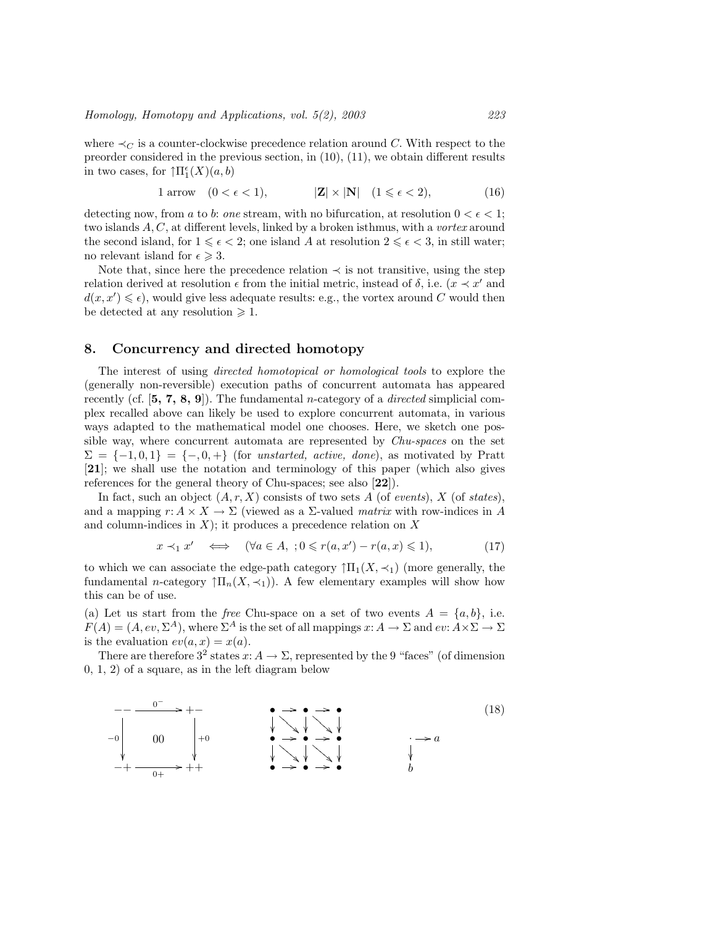where  $\prec_C$  is a counter-clockwise precedence relation around C. With respect to the preorder considered in the previous section, in (10), (11), we obtain different results in two cases, for  $\mathcal{T} \Pi_1^{\epsilon}(X)(a, b)$ 

$$
1 \text{ arrow} \quad (0 < \epsilon < 1), \qquad |\mathbf{Z}| \times |\mathbf{N}| \quad (1 \leq \epsilon < 2), \tag{16}
$$

detecting now, from a to b: one stream, with no bifurcation, at resolution  $0 < \epsilon < 1$ ; two islands  $A, C$ , at different levels, linked by a broken isthmus, with a *vortex* around the second island, for  $1 \leq \epsilon < 2$ ; one island A at resolution  $2 \leq \epsilon < 3$ , in still water; no relevant island for  $\epsilon \geq 3$ .

Note that, since here the precedence relation  $\prec$  is not transitive, using the step relation derived at resolution  $\epsilon$  from the initial metric, instead of  $\delta$ , i.e.  $(x \prec x'$  and  $d(x, x') \leq \epsilon$ , would give less adequate results: e.g., the vortex around C would then be detected at any resolution  $\geq 1$ .

# 8. Concurrency and directed homotopy

The interest of using directed homotopical or homological tools to explore the (generally non-reversible) execution paths of concurrent automata has appeared recently (cf.  $[5, 7, 8, 9]$ ). The fundamental *n*-category of a *directed* simplicial complex recalled above can likely be used to explore concurrent automata, in various ways adapted to the mathematical model one chooses. Here, we sketch one possible way, where concurrent automata are represented by Chu-spaces on the set  $\Sigma = \{-1, 0, 1\} = \{-, 0, +\}$  (for unstarted, active, done), as motivated by Pratt [21]; we shall use the notation and terminology of this paper (which also gives references for the general theory of Chu-spaces; see also [22]).

In fact, such an object  $(A, r, X)$  consists of two sets A (of events), X (of states), and a mapping  $r: A \times X \to \Sigma$  (viewed as a  $\Sigma$ -valued matrix with row-indices in A and column-indices in  $X$ ); it produces a precedence relation on  $X$ 

$$
x \prec_1 x' \iff (\forall a \in A, \; ; 0 \leq r(a, x') - r(a, x) \leq 1), \tag{17}
$$

to which we can associate the edge-path category  $\uparrow \Pi_1(X, \prec_1)$  (more generally, the fundamental n-category  $\prod_n(X,\prec_1)$ . A few elementary examples will show how this can be of use.

(a) Let us start from the free Chu-space on a set of two events  $A = \{a, b\}$ , i.e.  $F(A) = (A, ev, \Sigma^A)$ , where  $\Sigma^A$  is the set of all mappings  $x: A \to \Sigma$  and  $ev: A \times \Sigma \to \Sigma$ is the evaluation  $ev(a, x) = x(a)$ .

There are therefore  $3^2$  states  $x: A \to \Sigma$ , represented by the 9 "faces" (of dimension 0, 1, 2) of a square, as in the left diagram below

$$
-0
$$
\n
$$
-0
$$
\n
$$
0
$$
\n
$$
0
$$
\n
$$
0
$$
\n
$$
0
$$
\n
$$
0
$$
\n
$$
0
$$
\n
$$
0
$$
\n
$$
0
$$
\n
$$
0
$$
\n
$$
0
$$
\n
$$
0
$$
\n
$$
0
$$
\n
$$
0
$$
\n
$$
0
$$
\n
$$
0
$$
\n
$$
0
$$
\n
$$
0
$$
\n
$$
0
$$
\n
$$
0
$$
\n
$$
0
$$
\n
$$
0
$$
\n
$$
0
$$
\n
$$
0
$$
\n
$$
0
$$
\n
$$
0
$$
\n
$$
0
$$
\n
$$
0
$$
\n
$$
0
$$
\n
$$
0
$$
\n
$$
0
$$
\n
$$
0
$$
\n
$$
0
$$
\n
$$
0
$$
\n
$$
0
$$
\n
$$
0
$$
\n
$$
0
$$
\n
$$
0
$$
\n
$$
0
$$
\n
$$
0
$$
\n
$$
0
$$
\n
$$
0
$$
\n
$$
0
$$
\n
$$
0
$$
\n
$$
0
$$
\n
$$
0
$$
\n
$$
0
$$
\n
$$
0
$$
\n
$$
0
$$
\n
$$
0
$$
\n
$$
0
$$
\n
$$
0
$$
\n
$$
0
$$
\n
$$
0
$$
\n
$$
0
$$
\n
$$
0
$$
\n
$$
0
$$
\n
$$
0
$$
\n
$$
0
$$
\n
$$
0
$$
\n
$$
0
$$
\n
$$
0
$$
\n
$$
0
$$
\n
$$
0
$$
\n
$$
0
$$
\n
$$
0
$$
\n
$$
0
$$
\n
$$
0
$$
\n<math display="</math>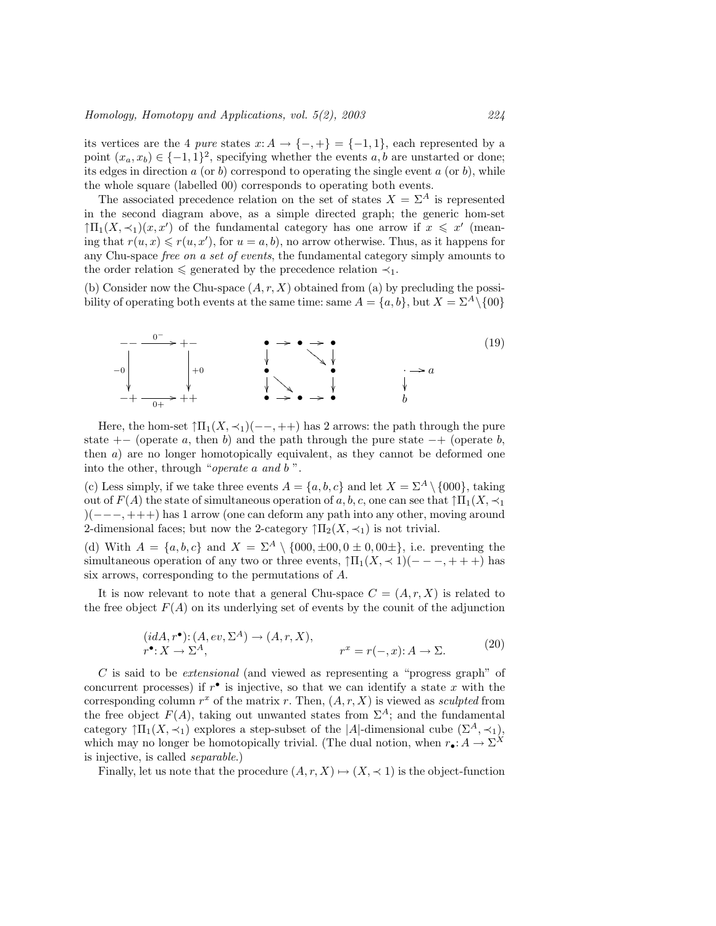its vertices are the 4 pure states  $x: A \to \{-, +\} = \{-1, 1\}$ , each represented by a point  $(x_a, x_b) \in \{-1, 1\}^2$ , specifying whether the events a, b are unstarted or done; its edges in direction  $a$  (or  $b$ ) correspond to operating the single event  $a$  (or  $b$ ), while the whole square (labelled 00) corresponds to operating both events.

The associated precedence relation on the set of states  $X = \Sigma^A$  is represented in the second diagram above, as a simple directed graph; the generic hom-set  $\uparrow \Pi_1(X, \prec_1)(x, x')$  of the fundamental category has one arrow if  $x \leq x'$  (meaning that  $r(u, x) \leq r(u, x')$ , for  $u = a, b$ ), no arrow otherwise. Thus, as it happens for any Chu-space free on a set of events, the fundamental category simply amounts to the order relation  $\leq$  generated by the precedence relation  $\prec_1$ .

(b) Consider now the Chu-space  $(A, r, X)$  obtained from (a) by precluding the possibility of operating both events at the same time: same  $A = \{a, b\}$ , but  $X = \Sigma^A \setminus \{00\}$ 



Here, the hom-set  $\uparrow \Pi_1(X, \prec_1)(--,++)$  has 2 arrows: the path through the pure state  $+-$  (operate a, then b) and the path through the pure state  $-+$  (operate b, then a) are no longer homotopically equivalent, as they cannot be deformed one into the other, through "operate a and b ".

(c) Less simply, if we take three events  $A = \{a, b, c\}$  and let  $X = \Sigma^A \setminus \{000\}$ , taking out of  $F(A)$  the state of simultaneous operation of a, b, c, one can see that  $\uparrow \Pi_1(X, \prec_1)$ )(−−−, +++) has 1 arrow (one can deform any path into any other, moving around 2-dimensional faces; but now the 2-category  $\int \prod_2(X,\prec_1)$  is not trivial.

(d) With  $A = \{a, b, c\}$  and  $X = \Sigma^A \setminus \{000, \pm 00, 0 \pm 0, 00 \pm \},$  i.e. preventing the simultaneous operation of any two or three events,  $\uparrow \Pi_1(X, \prec 1)(---, +++)$  has six arrows, corresponding to the permutations of A.

It is now relevant to note that a general Chu-space  $C = (A, r, X)$  is related to the free object  $F(A)$  on its underlying set of events by the counit of the adjunction

$$
(idA, r^{\bullet}) : (A, ev, \Sigma^{A}) \to (A, r, X),
$$
  

$$
r^{\bullet} : X \to \Sigma^{A}, \qquad r^{x} = r(-, x) : A \to \Sigma.
$$
 (20)

C is said to be extensional (and viewed as representing a "progress graph" of concurrent processes) if  $r^{\bullet}$  is injective, so that we can identify a state x with the corresponding column  $r^x$  of the matrix r. Then,  $(A, r, X)$  is viewed as sculpted from the free object  $F(A)$ , taking out unwanted states from  $\Sigma^A$ ; and the fundamental category  $\uparrow \Pi_1(X, \prec_1)$  explores a step-subset of the |A|-dimensional cube  $(\Sigma^A, \prec_1)$ , which may no longer be homotopically trivial. (The dual notion, when  $r_{\bullet} : A \to \Sigma^{X}$ is injective, is called separable.)

Finally, let us note that the procedure  $(A, r, X) \mapsto (X, \prec 1)$  is the object-function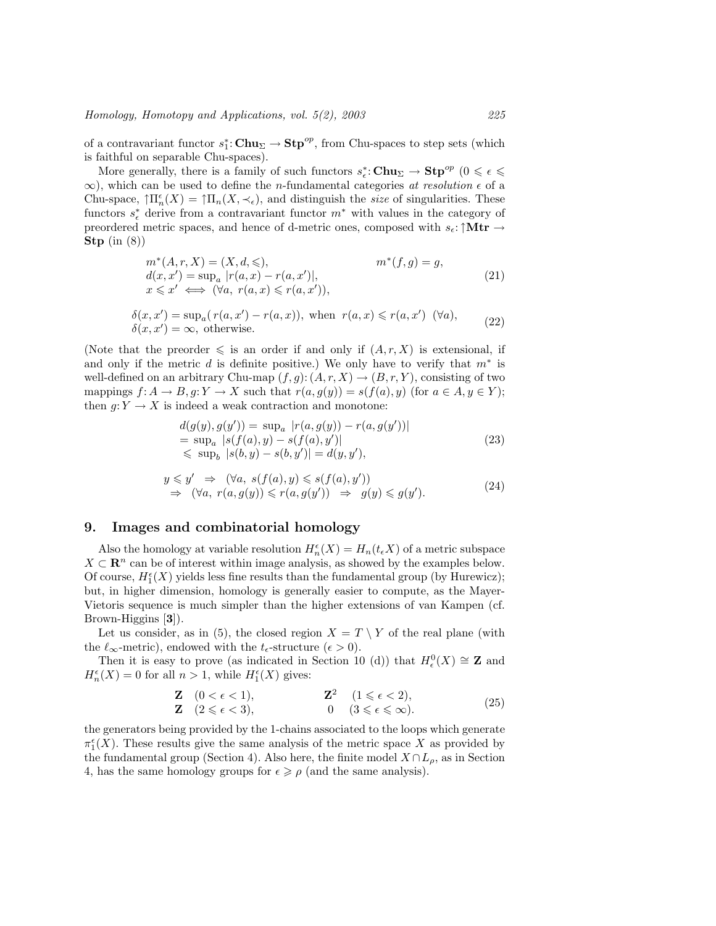of a contravariant functor  $s_1^*$ : Chu<sub> $\Sigma \to$ </sub>Stp<sup>op</sup>, from Chu-spaces to step sets (which is faithful on separable Chu-spaces).

More generally, there is a family of such functors  $s^*_\epsilon:$  Chu<sub> $\Sigma \to$ </sub> St $p^{op}$  ( $0 \leqslant \epsilon \leqslant$  $\infty$ ), which can be used to define the *n*-fundamental categories *at resolution*  $\epsilon$  of a Chu-space,  $\inf_n(X) = \inf_n(X, \prec_{\epsilon})$ , and distinguish the *size* of singularities. These functors  $s_{\epsilon}^*$  derive from a contravariant functor  $m^*$  with values in the category of preordered metric spaces, and hence of d-metric ones, composed with  $s_{\epsilon}$ : ↑Mtr  $\rightarrow$ Stp  $(in (8))$ 

$$
m^*(A, r, X) = (X, d, \leq), \qquad m^*(f, g) = g,
$$
  
\n
$$
d(x, x') = \sup_a |r(a, x) - r(a, x')|,
$$
  
\n
$$
x \leq x' \iff (\forall a, r(a, x) \leq r(a, x')),
$$
\n(21)

$$
\delta(x, x') = \sup_{a} (r(a, x') - r(a, x)), \text{ when } r(a, x) \le r(a, x') \quad (\forall a),
$$
  
 
$$
\delta(x, x') = \infty, \text{ otherwise.}
$$
 (22)

(Note that the preorder  $\leq$  is an order if and only if  $(A, r, X)$  is extensional, if and only if the metric  $d$  is definite positive.) We only have to verify that  $m^*$  is well-defined on an arbitrary Chu-map  $(f, g)$ :  $(A, r, X) \rightarrow (B, r, Y)$ , consisting of two mappings  $f: A \to B, g: Y \to X$  such that  $r(a, g(y)) = s(f(a), y)$  (for  $a \in A, y \in Y$ ); then  $g: Y \to X$  is indeed a weak contraction and monotone:

$$
d(g(y), g(y')) = \sup_{a} |r(a, g(y)) - r(a, g(y'))|
$$
  
= 
$$
\sup_{a} |s(f(a), y) - s(f(a), y')|
$$
  
\$\leq\$ 
$$
\sup_{b} |s(b, y) - s(b, y')| = d(y, y'),
$$
 (23)

$$
y \leq y' \Rightarrow (\forall a, s(f(a), y) \leq s(f(a), y'))\Rightarrow (\forall a, r(a, g(y)) \leq r(a, g(y')) \Rightarrow g(y) \leq g(y').
$$
\n(24)

# 9. Images and combinatorial homology

Also the homology at variable resolution  $H_n^{\epsilon}(X) = H_n(t_{\epsilon}X)$  of a metric subspace  $X \subset \mathbb{R}^n$  can be of interest within image analysis, as showed by the examples below. Of course,  $H_1^{\epsilon}(X)$  yields less fine results than the fundamental group (by Hurewicz); but, in higher dimension, homology is generally easier to compute, as the Mayer-Vietoris sequence is much simpler than the higher extensions of van Kampen (cf. Brown-Higgins [3]).

Let us consider, as in (5), the closed region  $X = T \setminus Y$  of the real plane (with the  $\ell_{\infty}$ -metric), endowed with the  $t_{\epsilon}$ -structure ( $\epsilon > 0$ ).

Then it is easy to prove (as indicated in Section 10 (d)) that  $H_{\epsilon}^{0}(X) \cong \mathbb{Z}$  and  $H_n^{\epsilon}(X) = 0$  for all  $n > 1$ , while  $H_1^{\epsilon}(X)$  gives:

$$
\begin{array}{llll}\n\mathbf{Z} & (0 < \epsilon < 1), \\
\mathbf{Z} & (2 \leqslant \epsilon < 3), \\
\mathbf{Z} & (2 \leqslant \epsilon < 3), \\
\end{array}\n\tag{25}
$$

the generators being provided by the 1-chains associated to the loops which generate  $\pi_1^{\epsilon}(X)$ . These results give the same analysis of the metric space X as provided by the fundamental group (Section 4). Also here, the finite model  $X \cap L_{\rho}$ , as in Section 4, has the same homology groups for  $\epsilon \geq \rho$  (and the same analysis).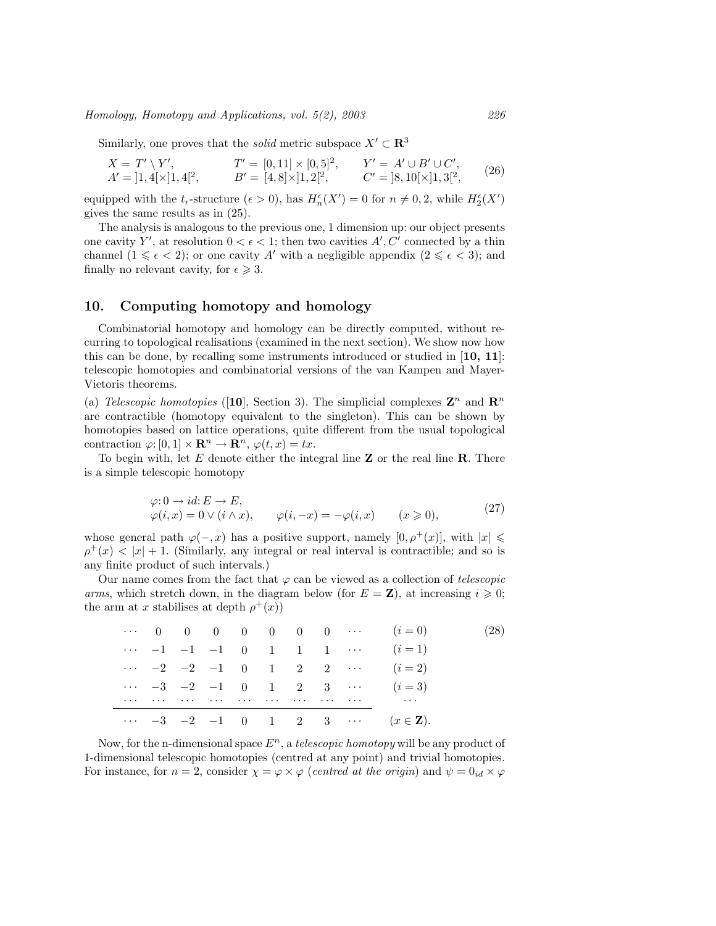Homology, Homotopy and Applications, vol. 5(2), 2003 226

Similarly, one proves that the *solid* metric subspace  $X' \subset \mathbb{R}^3$ 

$$
X = T' \setminus Y', \qquad T' = [0, 11] \times [0, 5]^2, \qquad Y' = A' \cup B' \cup C', A' = [1, 4[\times]1, 4]^2, \qquad B' = [4, 8[\times]1, 2]^2, \qquad C' = [8, 10[\times]1, 3]^2,
$$
 (26)

equipped with the  $t_{\epsilon}$ -structure  $(\epsilon > 0)$ , has  $H_n^{\epsilon}(X') = 0$  for  $n \neq 0, 2$ , while  $H_2^{\epsilon}(X')$ gives the same results as in (25).

The analysis is analogous to the previous one, 1 dimension up: our object presents one cavity Y', at resolution  $0 < \epsilon < 1$ ; then two cavities A', C' connected by a thin channel  $(1 \leq \epsilon < 2)$ ; or one cavity A' with a negligible appendix  $(2 \leq \epsilon < 3)$ ; and finally no relevant cavity, for  $\epsilon \geq 3$ .

# 10. Computing homotopy and homology

Combinatorial homotopy and homology can be directly computed, without recurring to topological realisations (examined in the next section). We show now how this can be done, by recalling some instruments introduced or studied in  $[10, 11]$ : telescopic homotopies and combinatorial versions of the van Kampen and Mayer-Vietoris theorems.

(a) Telescopic homotopies ([10], Section 3). The simplicial complexes  $\mathbb{Z}^n$  and  $\mathbb{R}^n$ are contractible (homotopy equivalent to the singleton). This can be shown by homotopies based on lattice operations, quite different from the usual topological contraction  $\varphi: [0,1] \times \mathbf{R}^n \to \mathbf{R}^n$ ,  $\varphi(t,x) = tx$ .

To begin with, let  $E$  denote either the integral line  $\bf{Z}$  or the real line  $\bf{R}$ . There is a simple telescopic homotopy

$$
\varphi: 0 \to id: E \to E,\n\varphi(i, x) = 0 \lor (i \land x), \qquad \varphi(i, -x) = -\varphi(i, x) \qquad (x \ge 0),
$$
\n(27)

whose general path  $\varphi(-,x)$  has a positive support, namely  $[0, \rho^+(x)]$ , with  $|x| \le$  $\rho^{+}(x) < |x| + 1$ . (Similarly, any integral or real interval is contractible; and so is any finite product of such intervals.)

Our name comes from the fact that  $\varphi$  can be viewed as a collection of telescopic arms, which stretch down, in the diagram below (for  $E = \mathbf{Z}$ ), at increasing  $i \geqslant 0$ ; the arm at x stabilises at depth  $\rho^+(x)$ 

|          |  |  |  |  | $\cdots$ 0 0 0 0 0 0 0 $\cdots$ ( <i>i</i> =0)                                                                                                                                                                                 | (28) |
|----------|--|--|--|--|--------------------------------------------------------------------------------------------------------------------------------------------------------------------------------------------------------------------------------|------|
|          |  |  |  |  | $\cdots$ -1 -1 -1 0 1 1 1 $\cdots$ (i=1)                                                                                                                                                                                       |      |
|          |  |  |  |  | $\cdots$ -2 -2 -1 0 1 2 2 $\cdots$ (i = 2)                                                                                                                                                                                     |      |
|          |  |  |  |  | $\cdots$ -3 -2 -1 0 1 2 3 $\cdots$ (i=3)                                                                                                                                                                                       |      |
| $\cdots$ |  |  |  |  | the contract of the contract of the contract of the contract of the contract of the contract of the contract of the contract of the contract of the contract of the contract of the contract of the contract of the contract o |      |
|          |  |  |  |  | $\cdots$ -3 -2 -1 0 1 2 3 $\cdots$ $(x \in \mathbf{Z})$ .                                                                                                                                                                      |      |

Now, for the n-dimensional space  $E^n$ , a telescopic homotopy will be any product of 1-dimensional telescopic homotopies (centred at any point) and trivial homotopies. For instance, for  $n = 2$ , consider  $\chi = \varphi \times \varphi$  (centred at the origin) and  $\psi = 0_{id} \times \varphi$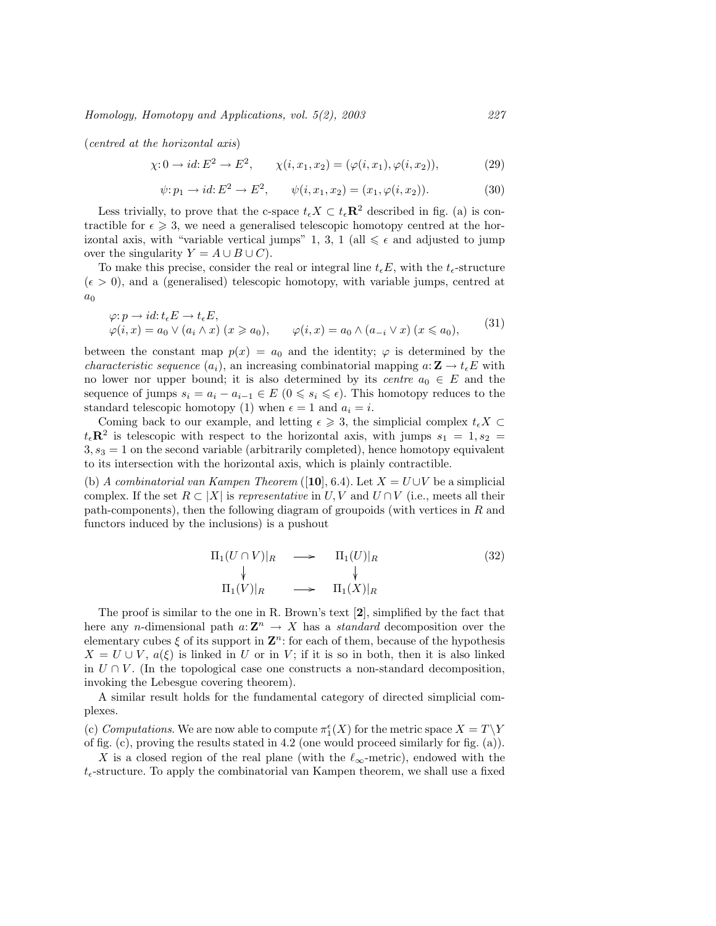Homology, Homotopy and Applications, vol. 5(2), 2003 227

(centred at the horizontal axis)

$$
\chi: 0 \to id: E^2 \to E^2, \qquad \chi(i, x_1, x_2) = (\varphi(i, x_1), \varphi(i, x_2)), \tag{29}
$$

$$
\psi: p_1 \to id: E^2 \to E^2, \qquad \psi(i, x_1, x_2) = (x_1, \varphi(i, x_2)). \tag{30}
$$

Less trivially, to prove that the c-space  $t_{\epsilon}X \subset t_{\epsilon} \mathbb{R}^2$  described in fig. (a) is contractible for  $\epsilon \geqslant 3$ , we need a generalised telescopic homotopy centred at the horizontal axis, with "variable vertical jumps" 1, 3, 1 (all  $\leq \epsilon$  and adjusted to jump over the singularity  $Y = A \cup B \cup C$ .

To make this precise, consider the real or integral line  $t_{\epsilon}E$ , with the  $t_{\epsilon}$ -structure  $({\epsilon} > 0)$ , and a (generalised) telescopic homotopy, with variable jumps, centred at  $a_0$ 

$$
\varphi: p \to id: t_{\epsilon} E \to t_{\epsilon} E,
$$
  
\n
$$
\varphi(i, x) = a_0 \vee (a_i \wedge x) \ (x \ge a_0), \qquad \varphi(i, x) = a_0 \wedge (a_{-i} \vee x) \ (x \le a_0),
$$
\n
$$
(31)
$$

between the constant map  $p(x) = a_0$  and the identity;  $\varphi$  is determined by the *characteristic sequence*  $(a_i)$ , an increasing combinatorial mapping  $a: \mathbf{Z} \to t_{\epsilon}E$  with no lower nor upper bound; it is also determined by its *centre*  $a_0 \in E$  and the sequence of jumps  $s_i = a_i - a_{i-1} \in E$   $(0 \leq s_i \leq \epsilon)$ . This homotopy reduces to the standard telescopic homotopy (1) when  $\epsilon = 1$  and  $a_i = i$ .

Coming back to our example, and letting  $\epsilon \geqslant 3$ , the simplicial complex  $t_{\epsilon}X \subset$  $t_{\epsilon} \mathbf{R}^2$  is telescopic with respect to the horizontal axis, with jumps  $s_1 = 1, s_2 =$  $3, s<sub>3</sub> = 1$  on the second variable (arbitrarily completed), hence homotopy equivalent to its intersection with the horizontal axis, which is plainly contractible.

(b) A combinatorial van Kampen Theorem ([10], 6.4). Let  $X = U \cup V$  be a simplicial complex. If the set  $R \subset |X|$  is *representative* in U, V and U ∩ V (i.e., meets all their path-components), then the following diagram of groupoids (with vertices in  $R$  and functors induced by the inclusions) is a pushout

$$
\Pi_1(U \cap V)|_R \longrightarrow \Pi_1(U)|_R
$$
\n
$$
\downarrow \qquad \qquad \downarrow
$$
\n
$$
\Pi_1(V)|_R \longrightarrow \Pi_1(X)|_R
$$
\n(32)

The proof is similar to the one in R. Brown's text [2], simplified by the fact that here any *n*-dimensional path  $a: \mathbb{Z}^n \to X$  has a *standard* decomposition over the elementary cubes  $\xi$  of its support in  $\mathbb{Z}^n$ : for each of them, because of the hypothesis  $X = U \cup V$ ,  $a(\xi)$  is linked in U or in V; if it is so in both, then it is also linked in  $U \cap V$ . (In the topological case one constructs a non-standard decomposition, invoking the Lebesgue covering theorem).

A similar result holds for the fundamental category of directed simplicial complexes.

(c) Computations. We are now able to compute  $\pi_1^{\epsilon}(X)$  for the metric space  $X = T \backslash Y$ of fig. (c), proving the results stated in 4.2 (one would proceed similarly for fig. (a)).

X is a closed region of the real plane (with the  $\ell_{\infty}$ -metric), endowed with the  $t_{\epsilon}$ -structure. To apply the combinatorial van Kampen theorem, we shall use a fixed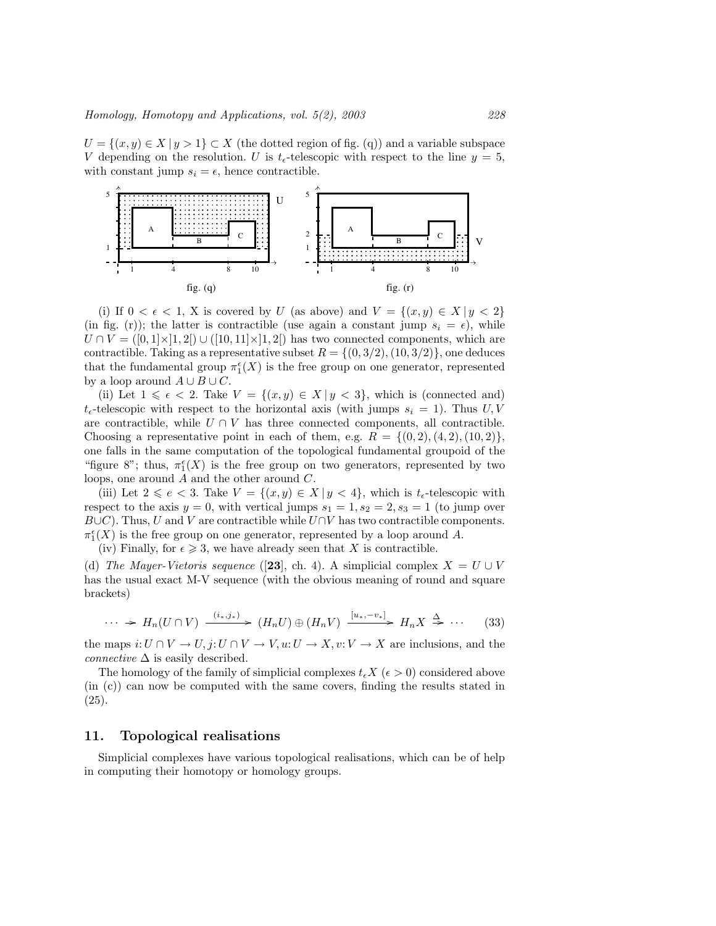$U = \{(x, y) \in X \mid y > 1\} \subset X$  (the dotted region of fig. (q)) and a variable subspace V depending on the resolution. U is  $t_{\epsilon}$ -telescopic with respect to the line  $y = 5$ , with constant jump  $s_i = \epsilon$ , hence contractible.



(i) If  $0 < \epsilon < 1$ , X is covered by U (as above) and  $V = \{(x, y) \in X | y < 2\}$ (in fig. (r)); the latter is contractible (use again a constant jump  $s_i = \epsilon$ ), while  $U \cap V = ([0,1] \times [1,2]) \cup ([10,11] \times [1,2])$  has two connected components, which are contractible. Taking as a representative subset  $R = \{(0, 3/2), (10, 3/2)\}\,$  one deduces that the fundamental group  $\pi_1^{\epsilon}(X)$  is the free group on one generator, represented by a loop around  $A \cup B \cup C$ .

(ii) Let  $1 \leq \epsilon < 2$ . Take  $V = \{(x, y) \in X | y < 3\}$ , which is (connected and)  $t_{\epsilon}$ -telescopic with respect to the horizontal axis (with jumps  $s_i = 1$ ). Thus U, V are contractible, while  $U \cap V$  has three connected components, all contractible. Choosing a representative point in each of them, e.g.  $R = \{(0, 2), (4, 2), (10, 2)\}\,$ one falls in the same computation of the topological fundamental groupoid of the "figure 8"; thus,  $\pi_1^{\epsilon}(X)$  is the free group on two generators, represented by two loops, one around A and the other around C.

(iii) Let  $2 \leqslant e < 3$ . Take  $V = \{(x, y) \in X | y < 4\}$ , which is  $t_{\epsilon}$ -telescopic with respect to the axis  $y = 0$ , with vertical jumps  $s_1 = 1, s_2 = 2, s_3 = 1$  (to jump over  $B\cup C$ ). Thus, U and V are contractible while  $U\cap V$  has two contractible components.  $\pi_1^{\epsilon}(X)$  is the free group on one generator, represented by a loop around A.

(iv) Finally, for  $\epsilon \geq 3$ , we have already seen that X is contractible.

(d) The Mayer-Vietoris sequence ([23], ch. 4). A simplicial complex  $X = U \cup V$ has the usual exact M-V sequence (with the obvious meaning of round and square brackets)

$$
\cdots \to H_n(U \cap V) \xrightarrow{(i_*,j_*)} (H_n U) \oplus (H_n V) \xrightarrow{[u_*,-v_*]} H_n X \xrightarrow{\Delta} \cdots \qquad (33)
$$

the maps  $i: U \cap V \to U$ ,  $j: U \cap V \to V$ ,  $u: U \to X$ ,  $v: V \to X$  are inclusions, and the *connective*  $\Delta$  is easily described.

The homology of the family of simplicial complexes  $t_{\epsilon}X$  ( $\epsilon > 0$ ) considered above (in (c)) can now be computed with the same covers, finding the results stated in (25).

## 11. Topological realisations

Simplicial complexes have various topological realisations, which can be of help in computing their homotopy or homology groups.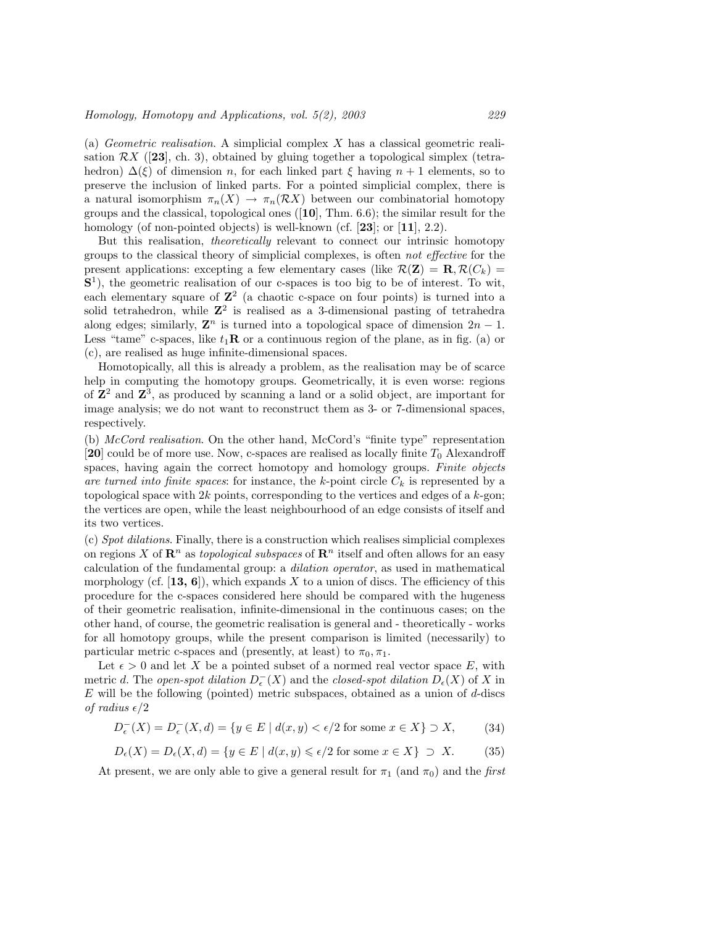(a) Geometric realisation. A simplicial complex X has a classical geometric realisation  $\mathcal{R}X$  ([23], ch. 3), obtained by gluing together a topological simplex (tetrahedron)  $\Delta(\xi)$  of dimension n, for each linked part  $\xi$  having  $n + 1$  elements, so to preserve the inclusion of linked parts. For a pointed simplicial complex, there is a natural isomorphism  $\pi_n(X) \to \pi_n(\mathcal{R}X)$  between our combinatorial homotopy groups and the classical, topological ones  $(10)$ , Thm. 6.6); the similar result for the homology (of non-pointed objects) is well-known (cf. [23]; or [11], 2.2).

But this realisation, theoretically relevant to connect our intrinsic homotopy groups to the classical theory of simplicial complexes, is often not effective for the present applications: excepting a few elementary cases (like  $\mathcal{R}(\mathbf{Z}) = \mathbf{R}, \mathcal{R}(C_k) =$ S<sup>1</sup>), the geometric realisation of our c-spaces is too big to be of interest. To wit, each elementary square of  $\mathbb{Z}^2$  (a chaotic c-space on four points) is turned into a solid tetrahedron, while  $\mathbb{Z}^2$  is realised as a 3-dimensional pasting of tetrahedra along edges; similarly,  $\mathbf{Z}^n$  is turned into a topological space of dimension  $2n - 1$ . Less "tame" c-spaces, like  $t_1\mathbf{R}$  or a continuous region of the plane, as in fig. (a) or (c), are realised as huge infinite-dimensional spaces.

Homotopically, all this is already a problem, as the realisation may be of scarce help in computing the homotopy groups. Geometrically, it is even worse: regions of  $\mathbb{Z}^2$  and  $\mathbb{Z}^3$ , as produced by scanning a land or a solid object, are important for image analysis; we do not want to reconstruct them as 3- or 7-dimensional spaces, respectively.

(b) McCord realisation. On the other hand, McCord's "finite type" representation [20] could be of more use. Now, c-spaces are realised as locally finite  $T_0$  Alexandroff spaces, having again the correct homotopy and homology groups. Finite objects are turned into finite spaces: for instance, the k-point circle  $C_k$  is represented by a topological space with  $2k$  points, corresponding to the vertices and edges of a  $k$ -gon; the vertices are open, while the least neighbourhood of an edge consists of itself and its two vertices.

(c) Spot dilations. Finally, there is a construction which realises simplicial complexes on regions X of  $\mathbb{R}^n$  as topological subspaces of  $\mathbb{R}^n$  itself and often allows for an easy calculation of the fundamental group: a dilation operator, as used in mathematical morphology (cf.  $[13, 6]$ ), which expands X to a union of discs. The efficiency of this procedure for the c-spaces considered here should be compared with the hugeness of their geometric realisation, infinite-dimensional in the continuous cases; on the other hand, of course, the geometric realisation is general and - theoretically - works for all homotopy groups, while the present comparison is limited (necessarily) to particular metric c-spaces and (presently, at least) to  $\pi_0, \pi_1$ .

Let  $\epsilon > 0$  and let X be a pointed subset of a normed real vector space E, with metric d. The open-spot dilation  $D_{\epsilon}^-(X)$  and the closed-spot dilation  $D_{\epsilon}(X)$  of X in  $E$  will be the following (pointed) metric subspaces, obtained as a union of  $d$ -discs of radius  $\epsilon/2$ 

$$
D_{\epsilon}^{-}(X) = D_{\epsilon}^{-}(X,d) = \{ y \in E \mid d(x,y) < \epsilon/2 \text{ for some } x \in X \} \supset X, \tag{34}
$$

$$
D_{\epsilon}(X) = D_{\epsilon}(X, d) = \{ y \in E \mid d(x, y) \le \epsilon/2 \text{ for some } x \in X \} \supset X. \tag{35}
$$

At present, we are only able to give a general result for  $\pi_1$  (and  $\pi_0$ ) and the first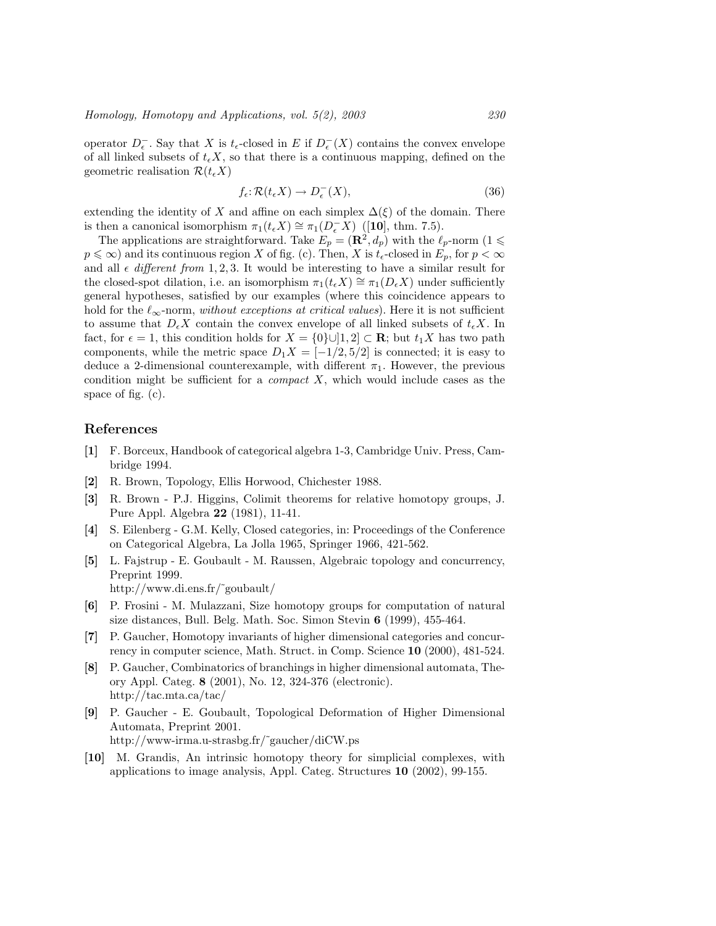operator  $D_{\epsilon}^-$ . Say that X is  $t_{\epsilon}$ -closed in E if  $D_{\epsilon}^-(X)$  contains the convex envelope of all linked subsets of  $t_{\epsilon}X$ , so that there is a continuous mapping, defined on the geometric realisation  $\mathcal{R}(t_{\epsilon}X)$ 

$$
f_{\epsilon} : \mathcal{R}(t_{\epsilon}X) \to D_{\epsilon}^{-}(X), \tag{36}
$$

extending the identity of X and affine on each simplex  $\Delta(\xi)$  of the domain. There is then a canonical isomorphism  $\pi_1(t_{\epsilon}X) \cong \pi_1(D_{\epsilon}^{-}X)$  ([10], thm. 7.5).

The applications are straightforward. Take  $E_p = (\mathbf{R}^2, d_p)$  with the  $\ell_p$ -norm  $(1 \leq$  $p \leq \infty$ ) and its continuous region X of fig. (c). Then, X is  $t_{\epsilon}$ -closed in  $E_p$ , for  $p < \infty$ and all  $\epsilon$  different from 1, 2, 3. It would be interesting to have a similar result for the closed-spot dilation, i.e. an isomorphism  $\pi_1(t_\epsilon X) \cong \pi_1(D_\epsilon X)$  under sufficiently general hypotheses, satisfied by our examples (where this coincidence appears to hold for the  $\ell_{\infty}$ -norm, without exceptions at critical values). Here it is not sufficient to assume that  $D_{\epsilon}X$  contain the convex envelope of all linked subsets of  $t_{\epsilon}X$ . In fact, for  $\epsilon = 1$ , this condition holds for  $X = \{0\} \cup [1, 2] \subset \mathbf{R}$ ; but  $t_1 X$  has two path components, while the metric space  $D_1X = [-1/2, 5/2]$  is connected; it is easy to deduce a 2-dimensional counterexample, with different  $\pi_1$ . However, the previous condition might be sufficient for a *compact X*, which would include cases as the space of fig. (c).

# References

- [1] F. Borceux, Handbook of categorical algebra 1-3, Cambridge Univ. Press, Cambridge 1994.
- [2] R. Brown, Topology, Ellis Horwood, Chichester 1988.
- [3] R. Brown P.J. Higgins, Colimit theorems for relative homotopy groups, J. Pure Appl. Algebra 22 (1981), 11-41.
- [4] S. Eilenberg G.M. Kelly, Closed categories, in: Proceedings of the Conference on Categorical Algebra, La Jolla 1965, Springer 1966, 421-562.
- [5] L. Fajstrup E. Goubault M. Raussen, Algebraic topology and concurrency, Preprint 1999.
	- http://www.di.ens.fr/˜goubault/
- [6] P. Frosini M. Mulazzani, Size homotopy groups for computation of natural size distances, Bull. Belg. Math. Soc. Simon Stevin 6 (1999), 455-464.
- [7] P. Gaucher, Homotopy invariants of higher dimensional categories and concurrency in computer science, Math. Struct. in Comp. Science 10 (2000), 481-524.
- [8] P. Gaucher, Combinatorics of branchings in higher dimensional automata, Theory Appl. Categ. 8 (2001), No. 12, 324-376 (electronic). http://tac.mta.ca/tac/
- [9] P. Gaucher E. Goubault, Topological Deformation of Higher Dimensional Automata, Preprint 2001. http://www-irma.u-strasbg.fr/˜gaucher/diCW.ps
- [10] M. Grandis, An intrinsic homotopy theory for simplicial complexes, with applications to image analysis, Appl. Categ. Structures 10 (2002), 99-155.